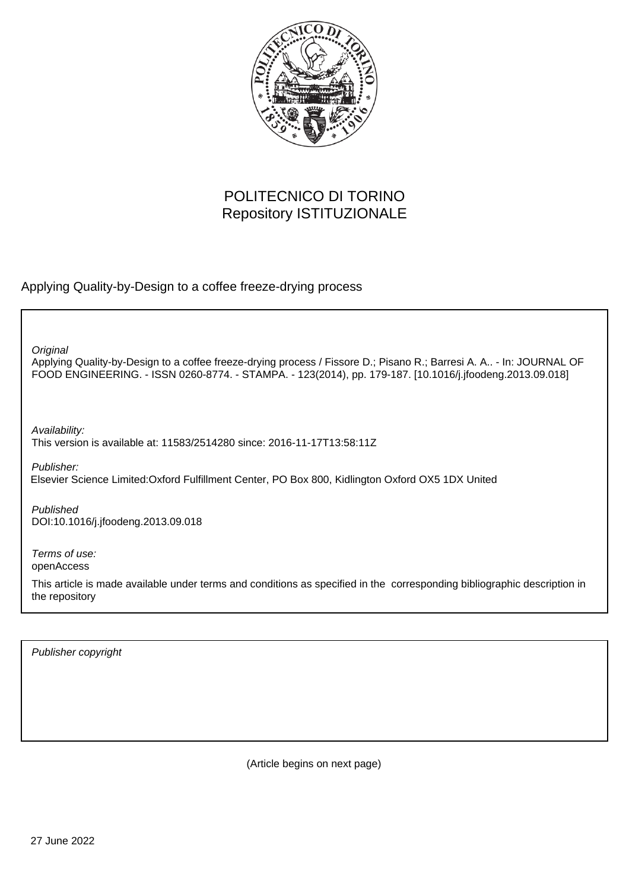

## POLITECNICO DI TORINO Repository ISTITUZIONALE

Applying Quality-by-Design to a coffee freeze-drying process

**Original** 

Applying Quality-by-Design to a coffee freeze-drying process / Fissore D.; Pisano R.; Barresi A. A.. - In: JOURNAL OF FOOD ENGINEERING. - ISSN 0260-8774. - STAMPA. - 123(2014), pp. 179-187. [10.1016/j.jfoodeng.2013.09.018]

Availability:

This version is available at: 11583/2514280 since: 2016-11-17T13:58:11Z

Publisher:

Elsevier Science Limited:Oxford Fulfillment Center, PO Box 800, Kidlington Oxford OX5 1DX United

Published DOI:10.1016/j.jfoodeng.2013.09.018

Terms of use: openAccess

This article is made available under terms and conditions as specified in the corresponding bibliographic description in the repository

Publisher copyright

(Article begins on next page)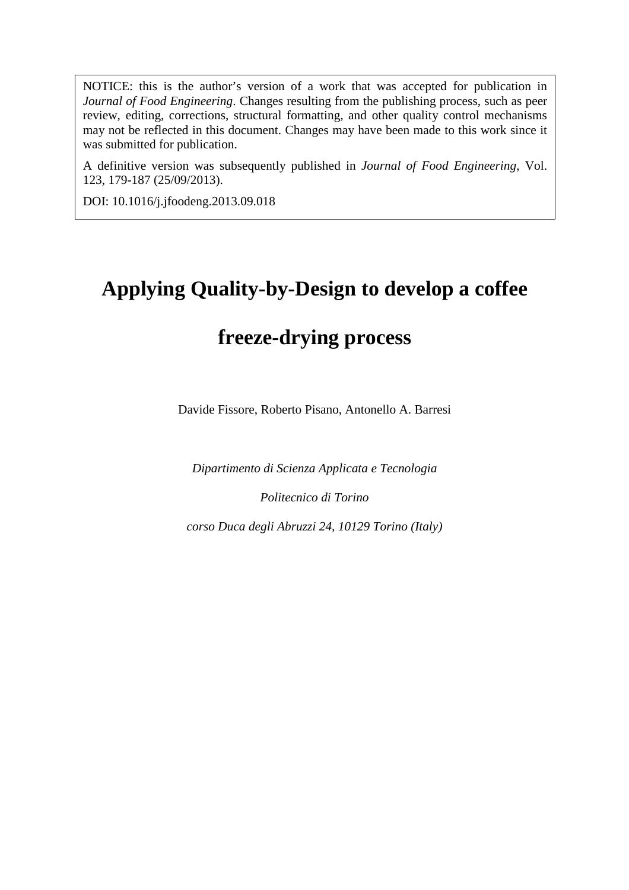NOTICE: this is the author's version of a work that was accepted for publication in review, editing, corrections, structural formatting, and other quality control mechanisms *Journal of Food Engineering*. Changes resulting from the publishing process, such as peer may not be reflected in this document. Changes may have been made to this work since it was submitted for publication.

A definitive version was subsequently published in *Journal of Food Engineering*, Vol. 123, 179-187 (25/09/2013).

DOI: 10.1016/j.jfoodeng.2013.09.018

# **Applying Quality-by-Design to develop a coffee**

## **freeze-drying process**

Davide Fissore, Roberto Pisano, Antonello A. Barresi

*Dipartimento di Scienza Applicata e Tecnologia* 

*Politecnico di Torino* 

*corso Duca degli Abruzzi 24, 10129 Torino (Italy)*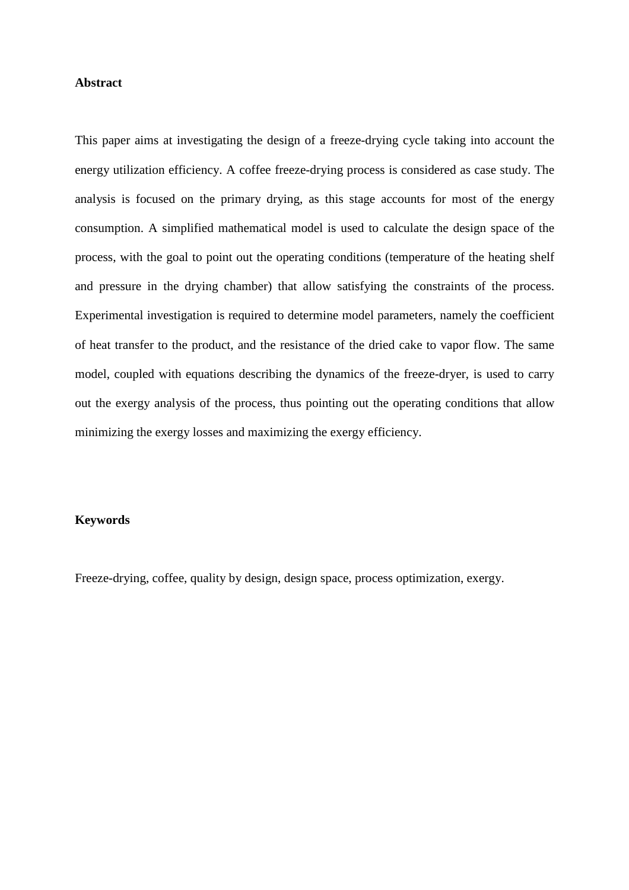#### **Abstract**

This paper aims at investigating the design of a freeze-drying cycle taking into account the energy utilization efficiency. A coffee freeze-drying process is considered as case study. The analysis is focused on the primary drying, as this stage accounts for most of the energy consumption. A simplified mathematical model is used to calculate the design space of the process, with the goal to point out the operating conditions (temperature of the heating shelf and pressure in the drying chamber) that allow satisfying the constraints of the process. Experimental investigation is required to determine model parameters, namely the coefficient of heat transfer to the product, and the resistance of the dried cake to vapor flow. The same model, coupled with equations describing the dynamics of the freeze-dryer, is used to carry out the exergy analysis of the process, thus pointing out the operating conditions that allow minimizing the exergy losses and maximizing the exergy efficiency.

#### **Keywords**

Freeze-drying, coffee, quality by design, design space, process optimization, exergy.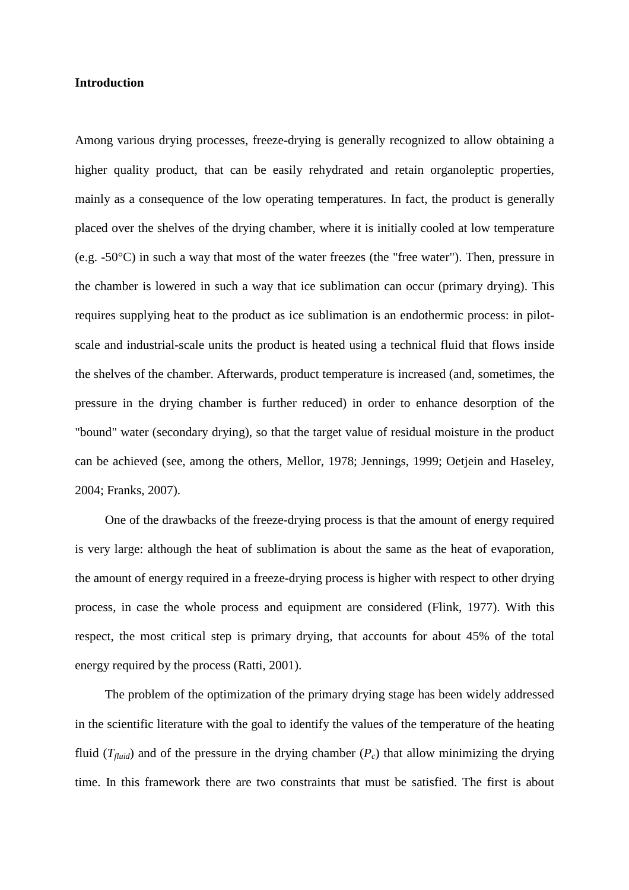#### **Introduction**

Among various drying processes, freeze-drying is generally recognized to allow obtaining a higher quality product, that can be easily rehydrated and retain organoleptic properties, mainly as a consequence of the low operating temperatures. In fact, the product is generally placed over the shelves of the drying chamber, where it is initially cooled at low temperature (e.g. -50°C) in such a way that most of the water freezes (the "free water"). Then, pressure in the chamber is lowered in such a way that ice sublimation can occur (primary drying). This requires supplying heat to the product as ice sublimation is an endothermic process: in pilotscale and industrial-scale units the product is heated using a technical fluid that flows inside the shelves of the chamber. Afterwards, product temperature is increased (and, sometimes, the pressure in the drying chamber is further reduced) in order to enhance desorption of the "bound" water (secondary drying), so that the target value of residual moisture in the product can be achieved (see, among the others, Mellor, 1978; Jennings, 1999; Oetjein and Haseley, 2004; Franks, 2007).

One of the drawbacks of the freeze-drying process is that the amount of energy required is very large: although the heat of sublimation is about the same as the heat of evaporation, the amount of energy required in a freeze-drying process is higher with respect to other drying process, in case the whole process and equipment are considered (Flink, 1977). With this respect, the most critical step is primary drying, that accounts for about 45% of the total energy required by the process (Ratti, 2001).

The problem of the optimization of the primary drying stage has been widely addressed in the scientific literature with the goal to identify the values of the temperature of the heating fluid  $(T_{fluid})$  and of the pressure in the drying chamber  $(P_c)$  that allow minimizing the drying time. In this framework there are two constraints that must be satisfied. The first is about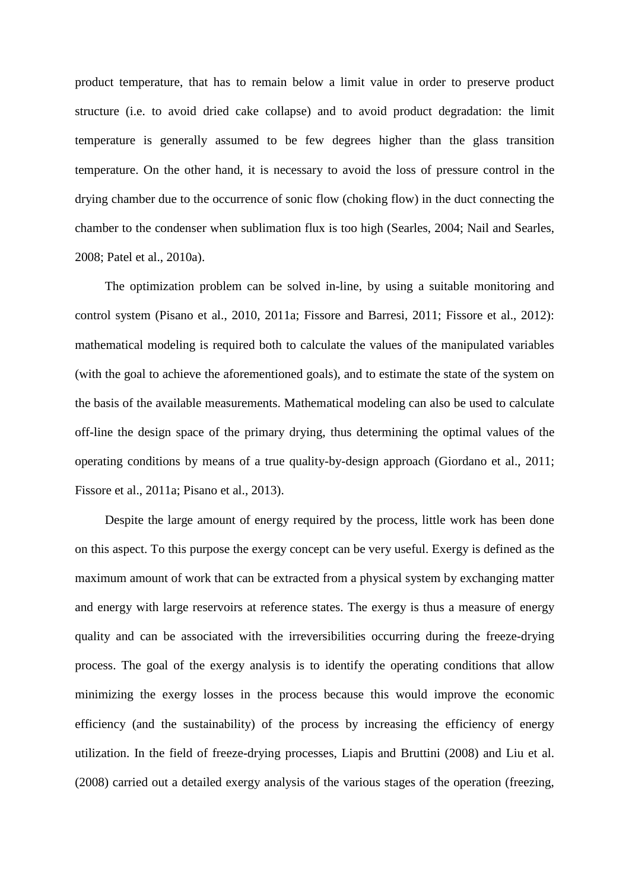product temperature, that has to remain below a limit value in order to preserve product structure (i.e. to avoid dried cake collapse) and to avoid product degradation: the limit temperature is generally assumed to be few degrees higher than the glass transition temperature. On the other hand, it is necessary to avoid the loss of pressure control in the drying chamber due to the occurrence of sonic flow (choking flow) in the duct connecting the chamber to the condenser when sublimation flux is too high (Searles, 2004; Nail and Searles, 2008; Patel et al., 2010a).

The optimization problem can be solved in-line, by using a suitable monitoring and control system (Pisano et al., 2010, 2011a; Fissore and Barresi, 2011; Fissore et al., 2012): mathematical modeling is required both to calculate the values of the manipulated variables (with the goal to achieve the aforementioned goals), and to estimate the state of the system on the basis of the available measurements. Mathematical modeling can also be used to calculate off-line the design space of the primary drying, thus determining the optimal values of the operating conditions by means of a true quality-by-design approach (Giordano et al., 2011; Fissore et al., 2011a; Pisano et al., 2013).

Despite the large amount of energy required by the process, little work has been done on this aspect. To this purpose the exergy concept can be very useful. Exergy is defined as the maximum amount of work that can be extracted from a physical system by exchanging matter and energy with large reservoirs at reference states. The exergy is thus a measure of energy quality and can be associated with the irreversibilities occurring during the freeze-drying process. The goal of the exergy analysis is to identify the operating conditions that allow minimizing the exergy losses in the process because this would improve the economic efficiency (and the sustainability) of the process by increasing the efficiency of energy utilization. In the field of freeze-drying processes, Liapis and Bruttini (2008) and Liu et al. (2008) carried out a detailed exergy analysis of the various stages of the operation (freezing,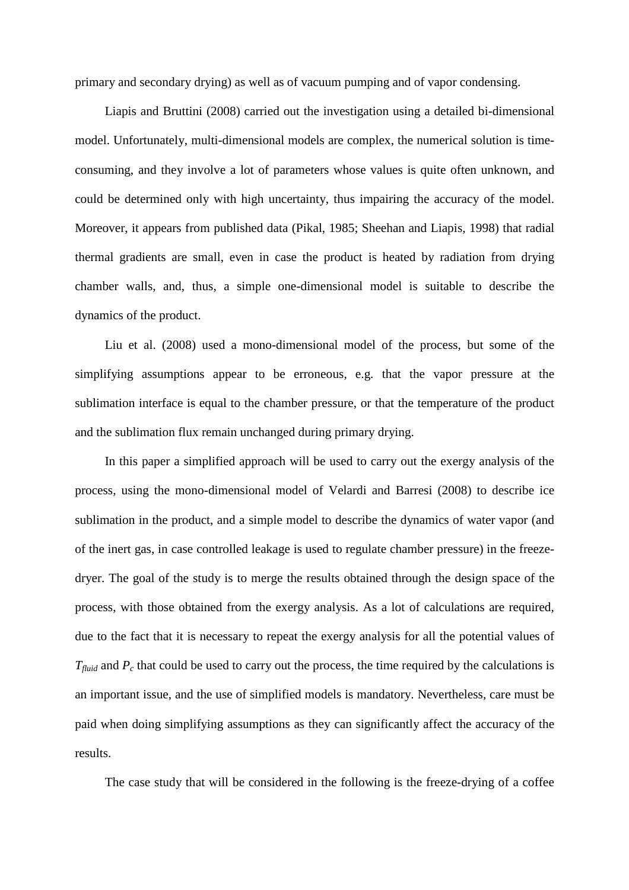primary and secondary drying) as well as of vacuum pumping and of vapor condensing.

Liapis and Bruttini (2008) carried out the investigation using a detailed bi-dimensional model. Unfortunately, multi-dimensional models are complex, the numerical solution is timeconsuming, and they involve a lot of parameters whose values is quite often unknown, and could be determined only with high uncertainty, thus impairing the accuracy of the model. Moreover, it appears from published data (Pikal, 1985; Sheehan and Liapis, 1998) that radial thermal gradients are small, even in case the product is heated by radiation from drying chamber walls, and, thus, a simple one-dimensional model is suitable to describe the dynamics of the product.

Liu et al. (2008) used a mono-dimensional model of the process, but some of the simplifying assumptions appear to be erroneous, e.g. that the vapor pressure at the sublimation interface is equal to the chamber pressure, or that the temperature of the product and the sublimation flux remain unchanged during primary drying.

In this paper a simplified approach will be used to carry out the exergy analysis of the process, using the mono-dimensional model of Velardi and Barresi (2008) to describe ice sublimation in the product, and a simple model to describe the dynamics of water vapor (and of the inert gas, in case controlled leakage is used to regulate chamber pressure) in the freezedryer. The goal of the study is to merge the results obtained through the design space of the process, with those obtained from the exergy analysis. As a lot of calculations are required, due to the fact that it is necessary to repeat the exergy analysis for all the potential values of *T*<sub>*fluid*</sub> and  $P_c$  that could be used to carry out the process, the time required by the calculations is an important issue, and the use of simplified models is mandatory. Nevertheless, care must be paid when doing simplifying assumptions as they can significantly affect the accuracy of the results.

The case study that will be considered in the following is the freeze-drying of a coffee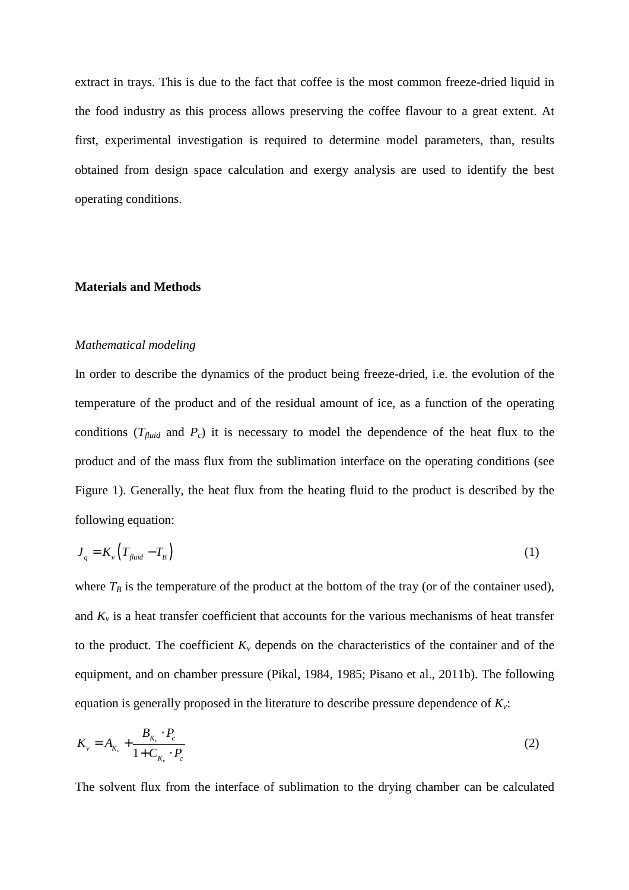extract in trays. This is due to the fact that coffee is the most common freeze-dried liquid in the food industry as this process allows preserving the coffee flavour to a great extent. At first, experimental investigation is required to determine model parameters, than, results obtained from design space calculation and exergy analysis are used to identify the best operating conditions.

#### **Materials and Methods**

#### *Mathematical modeling*

In order to describe the dynamics of the product being freeze-dried, i.e. the evolution of the temperature of the product and of the residual amount of ice, as a function of the operating conditions  $(T_{fluid}$  and  $P_c$ ) it is necessary to model the dependence of the heat flux to the product and of the mass flux from the sublimation interface on the operating conditions (see Figure 1). Generally, the heat flux from the heating fluid to the product is described by the following equation:

$$
J_q = K_v \left( T_{\text{fluid}} - T_B \right) \tag{1}
$$

where  $T_B$  is the temperature of the product at the bottom of the tray (or of the container used), and  $K_v$  is a heat transfer coefficient that accounts for the various mechanisms of heat transfer to the product. The coefficient  $K<sub>v</sub>$  depends on the characteristics of the container and of the equipment, and on chamber pressure (Pikal, 1984, 1985; Pisano et al., 2011b). The following equation is generally proposed in the literature to describe pressure dependence of *Kv*:

$$
K_{v} = A_{K_{v}} + \frac{B_{K_{v}} \cdot P_{c}}{1 + C_{K_{v}} \cdot P_{c}}
$$
 (2)

The solvent flux from the interface of sublimation to the drying chamber can be calculated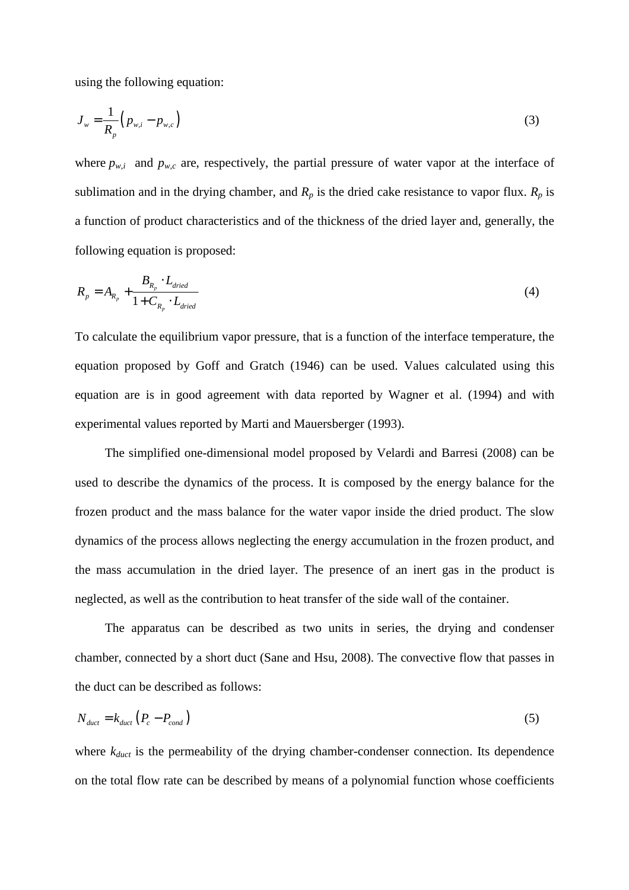using the following equation:

$$
J_{w} = \frac{1}{R_{p}} \left( p_{w,i} - p_{w,c} \right)
$$
 (3)

where  $p_{w,i}$  and  $p_{w,c}$  are, respectively, the partial pressure of water vapor at the interface of sublimation and in the drying chamber, and  $R_p$  is the dried cake resistance to vapor flux.  $R_p$  is a function of product characteristics and of the thickness of the dried layer and, generally, the following equation is proposed:

$$
R_p = A_{R_p} + \frac{B_{R_p} \cdot L_{dried}}{1 + C_{R_p} \cdot L_{dried}}
$$
 (4)

To calculate the equilibrium vapor pressure, that is a function of the interface temperature, the equation proposed by Goff and Gratch (1946) can be used. Values calculated using this equation are is in good agreement with data reported by Wagner et al. (1994) and with experimental values reported by Marti and Mauersberger (1993).

The simplified one-dimensional model proposed by Velardi and Barresi (2008) can be used to describe the dynamics of the process. It is composed by the energy balance for the frozen product and the mass balance for the water vapor inside the dried product. The slow dynamics of the process allows neglecting the energy accumulation in the frozen product, and the mass accumulation in the dried layer. The presence of an inert gas in the product is neglected, as well as the contribution to heat transfer of the side wall of the container.

 The apparatus can be described as two units in series, the drying and condenser chamber, connected by a short duct (Sane and Hsu, 2008). The convective flow that passes in the duct can be described as follows:

$$
N_{\text{duct}} = k_{\text{duct}} \left( P_c - P_{\text{cond}} \right) \tag{5}
$$

where  $k_{duct}$  is the permeability of the drying chamber-condenser connection. Its dependence on the total flow rate can be described by means of a polynomial function whose coefficients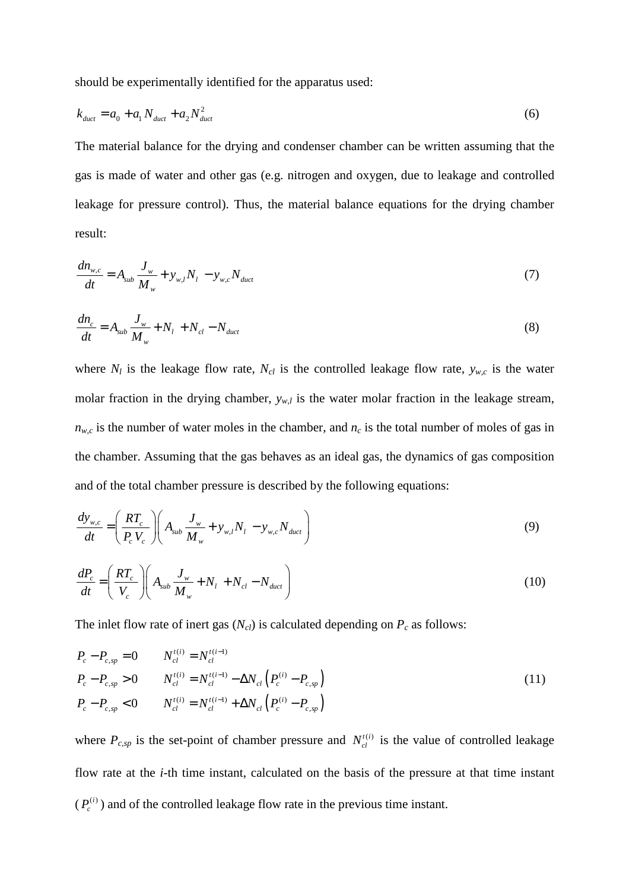should be experimentally identified for the apparatus used:

$$
k_{\text{duct}} = a_0 + a_1 N_{\text{duct}} + a_2 N_{\text{duct}}^2 \tag{6}
$$

The material balance for the drying and condenser chamber can be written assuming that the gas is made of water and other gas (e.g. nitrogen and oxygen, due to leakage and controlled leakage for pressure control). Thus, the material balance equations for the drying chamber result:

$$
\frac{dn_{w,c}}{dt} = A_{sub} \frac{J_w}{M_w} + y_{w,l} N_l - y_{w,c} N_{duct}
$$
\n(7)

$$
\frac{dn_c}{dt} = A_{sub} \frac{J_w}{M_w} + N_l + N_{cl} - N_{duct}
$$
\n(8)

where  $N_l$  is the leakage flow rate,  $N_{cl}$  is the controlled leakage flow rate,  $y_{w,c}$  is the water molar fraction in the drying chamber,  $y_{w,l}$  is the water molar fraction in the leakage stream,  $n_{w,c}$  is the number of water moles in the chamber, and  $n_c$  is the total number of moles of gas in the chamber. Assuming that the gas behaves as an ideal gas, the dynamics of gas composition and of the total chamber pressure is described by the following equations:

$$
\frac{dy_{w,c}}{dt} = \left(\frac{RT_c}{P_c V_c}\right) \left(A_{sub}\frac{J_w}{M_w} + y_{w,l}N_l - y_{w,c}N_{duct}\right)
$$
\n(9)

$$
\frac{dP_c}{dt} = \left(\frac{RT_c}{V_c}\right) \left(A_{sub}\frac{J_w}{M_w} + N_l + N_{cl} - N_{duct}\right)
$$
\n(10)

The inlet flow rate of inert gas  $(N_{cl})$  is calculated depending on  $P_c$  as follows:

$$
P_c - P_{c,sp} = 0 \t N_{cl}^{t(i)} = N_{cl}^{t(i-1)}
$$
  
\n
$$
P_c - P_{c,sp} > 0 \t N_{cl}^{t(i)} = N_{cl}^{t(i-1)} - \Delta N_{cl} \left( P_c^{(i)} - P_{c,sp} \right)
$$
  
\n
$$
P_c - P_{c,sp} < 0 \t N_{cl}^{t(i)} = N_{cl}^{t(i-1)} + \Delta N_{cl} \left( P_c^{(i)} - P_{c,sp} \right)
$$
\n(11)

where  $P_{c,sp}$  is the set-point of chamber pressure and  $N_c^{(i)}$  is the value of controlled leakage flow rate at the *i*-th time instant, calculated on the basis of the pressure at that time instant  $(P_c^{(i)})$  and of the controlled leakage flow rate in the previous time instant.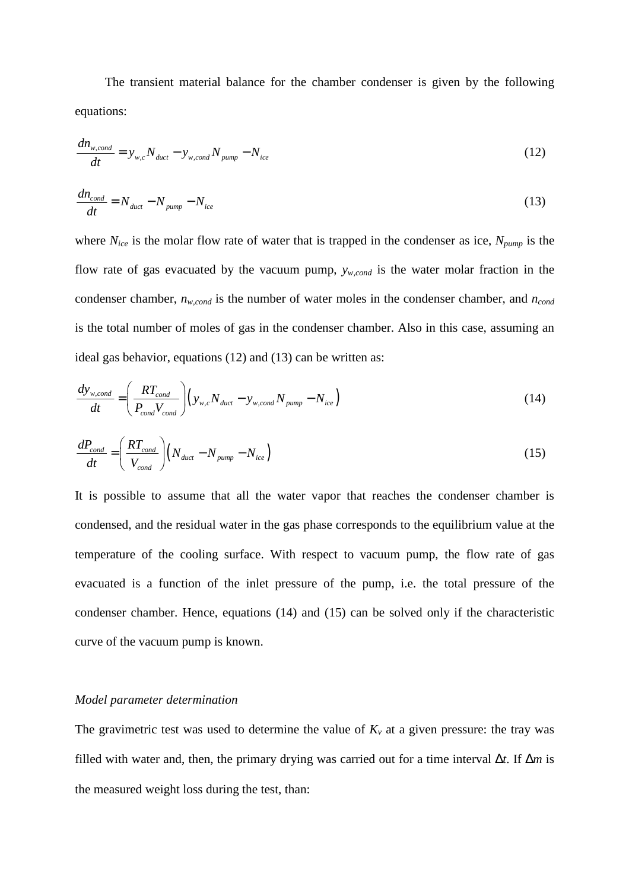The transient material balance for the chamber condenser is given by the following equations:

$$
\frac{dn_{w,cond}}{dt} = y_{w,c} N_{duct} - y_{w,cond} N_{pump} - N_{ice}
$$
\n(12)

$$
\frac{dn_{cond}}{dt} = N_{duct} - N_{pump} - N_{ice}
$$
\n(13)

where  $N_{ice}$  is the molar flow rate of water that is trapped in the condenser as ice,  $N_{pump}$  is the flow rate of gas evacuated by the vacuum pump, *yw,cond* is the water molar fraction in the condenser chamber, *nw,cond* is the number of water moles in the condenser chamber, and *ncond* is the total number of moles of gas in the condenser chamber. Also in this case, assuming an ideal gas behavior, equations (12) and (13) can be written as:

$$
\frac{dy_{w,cond}}{dt} = \left(\frac{RT_{cond}}{P_{cond}V_{cond}}\right) \left(y_{w,c}N_{duct} - y_{w,cond}N_{pump} - N_{ice}\right)
$$
\n(14)

$$
\frac{dP_{cond}}{dt} = \left(\frac{RT_{cond}}{V_{cond}}\right) \left(N_{duct} - N_{pump} - N_{ice}\right)
$$
\n(15)

It is possible to assume that all the water vapor that reaches the condenser chamber is condensed, and the residual water in the gas phase corresponds to the equilibrium value at the temperature of the cooling surface. With respect to vacuum pump, the flow rate of gas evacuated is a function of the inlet pressure of the pump, i.e. the total pressure of the condenser chamber. Hence, equations (14) and (15) can be solved only if the characteristic curve of the vacuum pump is known.

#### *Model parameter determination*

The gravimetric test was used to determine the value of  $K<sub>v</sub>$  at a given pressure: the tray was filled with water and, then, the primary drying was carried out for a time interval ∆*t*. If ∆*m* is the measured weight loss during the test, than: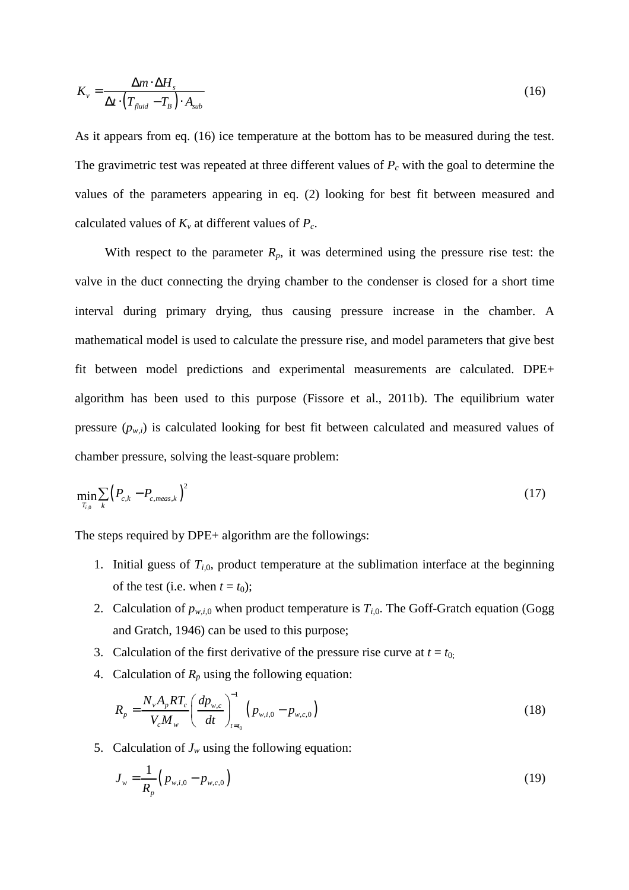$$
K_{v} = \frac{\Delta m \cdot \Delta H_{s}}{\Delta t \cdot \left(T_{fluid} - T_{B}\right) \cdot A_{sub}}
$$
(16)

As it appears from eq. (16) ice temperature at the bottom has to be measured during the test. The gravimetric test was repeated at three different values of *Pc* with the goal to determine the values of the parameters appearing in eq. (2) looking for best fit between measured and calculated values of  $K_v$  at different values of  $P_c$ .

With respect to the parameter  $R_p$ , it was determined using the pressure rise test: the valve in the duct connecting the drying chamber to the condenser is closed for a short time interval during primary drying, thus causing pressure increase in the chamber. A mathematical model is used to calculate the pressure rise, and model parameters that give best fit between model predictions and experimental measurements are calculated. DPE+ algorithm has been used to this purpose (Fissore et al., 2011b). The equilibrium water pressure  $(p_{w,i})$  is calculated looking for best fit between calculated and measured values of chamber pressure, solving the least-square problem:

$$
\min_{T_{i,0}} \sum_{k} (P_{c,k} - P_{c,meas,k})^2
$$
 (17)

The steps required by DPE+ algorithm are the followings:

- 1. Initial guess of  $T_{i,0}$ , product temperature at the sublimation interface at the beginning of the test (i.e. when  $t = t_0$ );
- 2. Calculation of  $p_{w,i,0}$  when product temperature is  $T_{i,0}$ . The Goff-Gratch equation (Gogg and Gratch, 1946) can be used to this purpose;
- 3. Calculation of the first derivative of the pressure rise curve at  $t = t_0$ .
- 4. Calculation of  $R_p$  using the following equation:

$$
R_p = \frac{N_v A_p R T_c}{V_c M_w} \left(\frac{dp_{w,c}}{dt}\right)_{t=t_0}^{-1} \left(p_{w,i,0} - p_{w,c,0}\right)
$$
 (18)

5. Calculation of  $J_w$  using the following equation:

$$
J_{w} = \frac{1}{R_{p}} \Big( p_{w,i,0} - p_{w,c,0} \Big)
$$
 (19)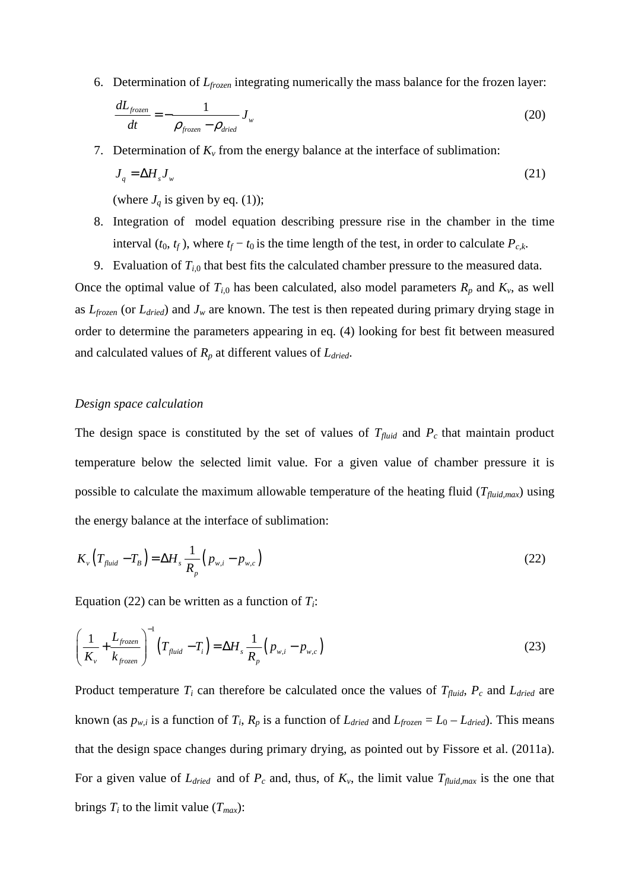6. Determination of *Lfrozen* integrating numerically the mass balance for the frozen layer:

$$
\frac{dL_{frozen}}{dt} = -\frac{1}{\rho_{frozen} - \rho_{dried}} J_w
$$
\n(20)

7. Determination of  $K_\nu$  from the energy balance at the interface of sublimation:

$$
J_q = \Delta H_s J_w \tag{21}
$$

(where  $J_q$  is given by eq. (1));

- 8. Integration of model equation describing pressure rise in the chamber in the time interval  $(t_0, t_f)$ , where  $t_f - t_0$  is the time length of the test, in order to calculate  $P_{c,k}$ .
- 9. Evaluation of  $T_{i,0}$  that best fits the calculated chamber pressure to the measured data.

Once the optimal value of  $T_{i,0}$  has been calculated, also model parameters  $R_p$  and  $K_v$ , as well as *Lfrozen* (or *Ldried*) and *Jw* are known. The test is then repeated during primary drying stage in order to determine the parameters appearing in eq. (4) looking for best fit between measured and calculated values of *Rp* at different values of *Ldried*.

#### *Design space calculation*

The design space is constituted by the set of values of  $T_{fluid}$  and  $P_c$  that maintain product temperature below the selected limit value. For a given value of chamber pressure it is possible to calculate the maximum allowable temperature of the heating fluid (*Tfluid,max*) using the energy balance at the interface of sublimation:

$$
K_{\nu}\left(T_{\text{fluid}}-T_{\text{B}}\right)=\Delta H_{s}\frac{1}{R_{p}}\left(p_{\text{w},i}-p_{\text{w},c}\right)
$$
\n(22)

Equation (22) can be written as a function of *Ti*:

$$
\left(\frac{1}{K_{\nu}} + \frac{L_{frozen}}{k_{frozen}}\right)^{-1} \left(T_{fluid} - T_{i}\right) = \Delta H_{s} \frac{1}{R_{p}} \left(p_{w,i} - p_{w,c}\right)
$$
\n(23)

Product temperature  $T_i$  can therefore be calculated once the values of  $T_{fluid}$ ,  $P_c$  and  $L_{dried}$  are known (as  $p_{w,i}$  is a function of  $T_i$ ,  $R_p$  is a function of  $L_{dried}$  and  $L_{frozen} = L_0 - L_{dried}$ ). This means that the design space changes during primary drying, as pointed out by Fissore et al. (2011a). For a given value of  $L_{dried}$  and of  $P_c$  and, thus, of  $K_v$ , the limit value  $T_{fluid,max}$  is the one that brings  $T_i$  to the limit value  $(T_{max})$ :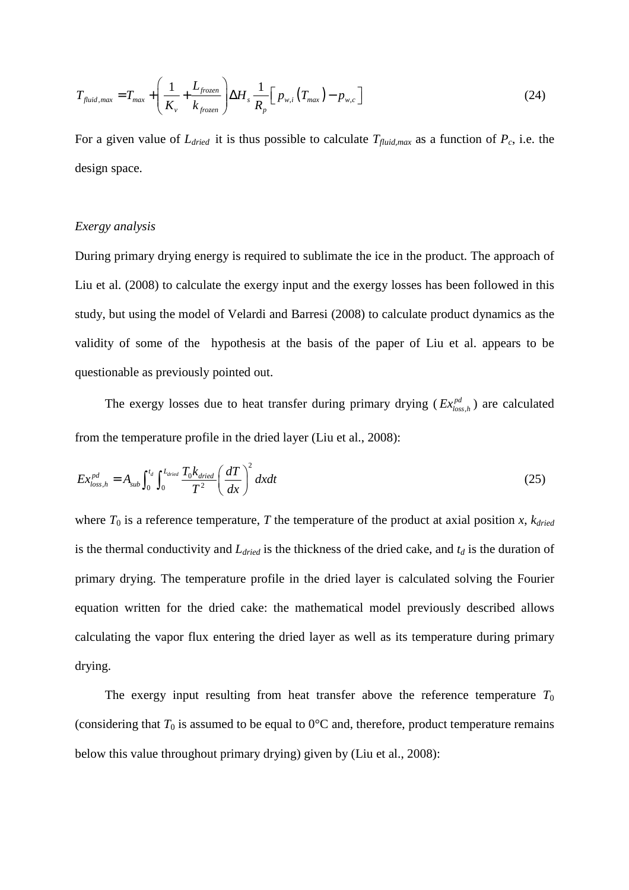$$
T_{fluid,max} = T_{max} + \left(\frac{1}{K_v} + \frac{L_{frozen}}{k_{frozen}}\right) \Delta H_s \frac{1}{R_p} \left[p_{w,i}\left(T_{max}\right) - p_{w,c}\right]
$$
(24)

For a given value of  $L_{dried}$  it is thus possible to calculate  $T_{fluid,max}$  as a function of  $P_c$ , i.e. the design space.

#### *Exergy analysis*

During primary drying energy is required to sublimate the ice in the product. The approach of Liu et al. (2008) to calculate the exergy input and the exergy losses has been followed in this study, but using the model of Velardi and Barresi (2008) to calculate product dynamics as the validity of some of the hypothesis at the basis of the paper of Liu et al. appears to be questionable as previously pointed out.

The exergy losses due to heat transfer during primary drying  $(Ex_{loss,h}^{pd})$  are calculated from the temperature profile in the dried layer (Liu et al., 2008):

$$
Ex_{loss,h}^{pd} = A_{sub} \int_0^{t_d} \int_0^{L_{dried}} \frac{T_0 k_{dried}}{T^2} \left(\frac{dT}{dx}\right)^2 dxdt
$$
 (25)

where  $T_0$  is a reference temperature,  $T$  the temperature of the product at axial position  $x$ ,  $k_{dried}$ is the thermal conductivity and *Ldried* is the thickness of the dried cake, and *td* is the duration of primary drying. The temperature profile in the dried layer is calculated solving the Fourier equation written for the dried cake: the mathematical model previously described allows calculating the vapor flux entering the dried layer as well as its temperature during primary drying.

The exergy input resulting from heat transfer above the reference temperature  $T_0$ (considering that  $T_0$  is assumed to be equal to  $0^{\circ}$ C and, therefore, product temperature remains below this value throughout primary drying) given by (Liu et al., 2008):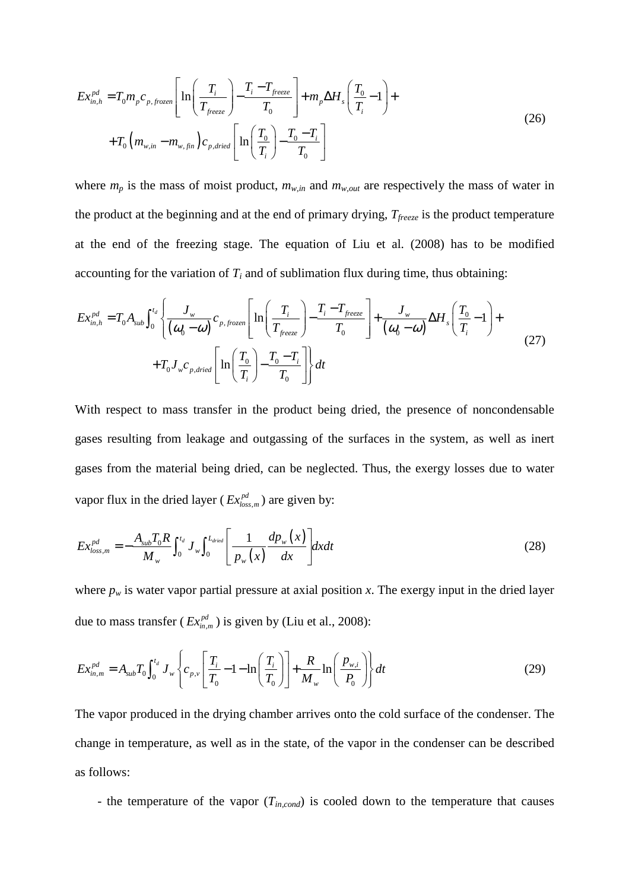$$
Ex_{in,h}^{pd} = T_0 m_p c_{p, \text{frozen}} \left[ \ln \left( \frac{T_i}{T_{\text{freeze}}} \right) - \frac{T_i - T_{\text{freeze}}}{T_0} \right] + m_p \Delta H_s \left( \frac{T_0}{T_i} - 1 \right) +
$$
  
+ 
$$
T_0 \left( m_{w,in} - m_{w,\text{fin}} \right) c_{p,\text{dried}} \left[ \ln \left( \frac{T_0}{T_i} \right) - \frac{T_0 - T_i}{T_0} \right]
$$
 (26)

where  $m_p$  is the mass of moist product,  $m_{w,in}$  and  $m_{w,out}$  are respectively the mass of water in the product at the beginning and at the end of primary drying, *Tfreeze* is the product temperature at the end of the freezing stage. The equation of Liu et al. (2008) has to be modified accounting for the variation of  $T_i$  and of sublimation flux during time, thus obtaining:

$$
Ex_{in,h}^{pd} = T_0 A_{sub} \int_0^{t_d} \left\{ \frac{J_w}{(\omega_0 - \omega)} c_{p,frozen} \left[ \ln \left( \frac{T_i}{T_{freeze}} \right) - \frac{T_i - T_{freeze}}{T_0} \right] + \frac{J_w}{(\omega_0 - \omega)} \Delta H_s \left( \frac{T_0}{T_i} - 1 \right) + \frac{T_0 J_w c_{p,dried}}{T_0} \left[ \ln \left( \frac{T_0}{T_i} \right) - \frac{T_0 - T_i}{T_0} \right] \right\} dt
$$
\n(27)

With respect to mass transfer in the product being dried, the presence of noncondensable gases resulting from leakage and outgassing of the surfaces in the system, as well as inert gases from the material being dried, can be neglected. Thus, the exergy losses due to water vapor flux in the dried layer ( $Ex_{loss,m}^{pd}$ ) are given by:

$$
Ex_{loss,m}^{pd} = -\frac{A_{sub}T_0R}{M_w} \int_0^{t_d} J_w \int_0^{L_{dried}} \left[ \frac{1}{p_w(x)} \frac{dp_w(x)}{dx} \right] dx dt
$$
 (28)

where  $p_w$  is water vapor partial pressure at axial position *x*. The exergy input in the dried layer due to mass transfer ( $Ex_{m,m}^{pd}$ ) is given by (Liu et al., 2008):

$$
Ex_{in,m}^{pd} = A_{sub}T_0 \int_0^{t_d} J_w \left\{ c_{p,v} \left[ \frac{T_i}{T_0} - 1 - \ln \left( \frac{T_i}{T_0} \right) \right] + \frac{R}{M_w} \ln \left( \frac{p_{w,i}}{P_0} \right) \right\} dt
$$
 (29)

The vapor produced in the drying chamber arrives onto the cold surface of the condenser. The change in temperature, as well as in the state, of the vapor in the condenser can be described as follows:

- the temperature of the vapor (*Tin,cond*) is cooled down to the temperature that causes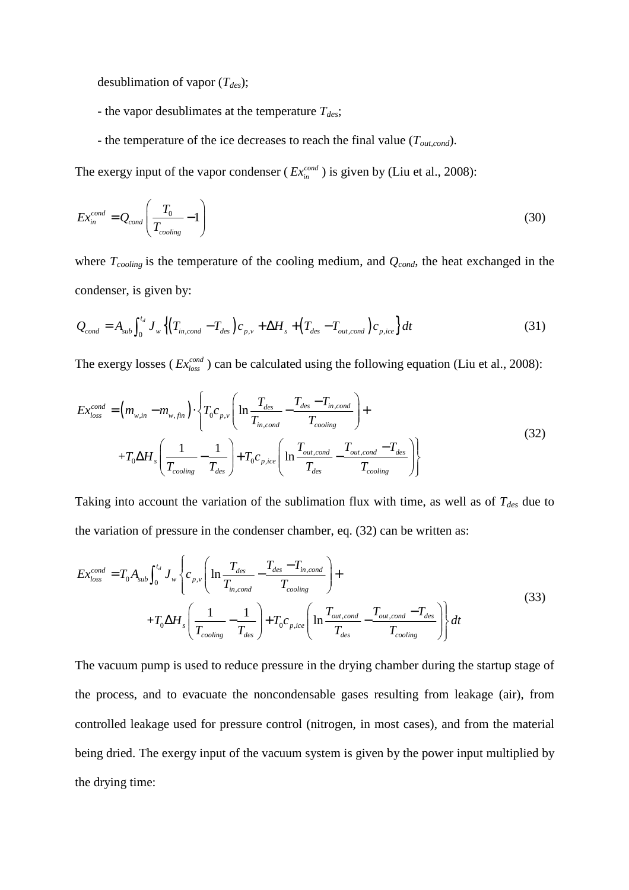desublimation of vapor (*Tdes*);

- the vapor desublimates at the temperature *Tdes*;
- the temperature of the ice decreases to reach the final value (*Tout,cond*).

The exergy input of the vapor condenser ( $Ex_{in}^{cond}$ ) is given by (Liu et al., 2008):

$$
Ex_{in}^{cond} = Q_{cond}\left(\frac{T_0}{T_{cooling}} - 1\right)
$$
\n(30)

where *Tcooling* is the temperature of the cooling medium, and *Qcond*, the heat exchanged in the condenser, is given by:

$$
Q_{cond} = A_{sub} \int_0^{t_d} J_w \left\{ \left( T_{in,cond} - T_{des} \right) c_{p,v} + \Delta H_s + \left( T_{des} - T_{out,cond} \right) c_{p,ice} \right\} dt \tag{31}
$$

The exergy losses ( $Ex_{loss}^{cond}$ ) can be calculated using the following equation (Liu et al., 2008):

$$
Ex_{loss}^{cond} = \left(m_{w,in} - m_{w,fin}\right) \cdot \left\{T_0 c_{p,v} \left(\ln \frac{T_{des}}{T_{in,cond}} - \frac{T_{des} - T_{in,cond}}{T_{cooling}}\right) + \right.
$$
  
+
$$
T_0 \Delta H_s \left(\frac{1}{T_{cooling}} - \frac{1}{T_{des}}\right) + T_0 c_{p,ice} \left(\ln \frac{T_{out,cond}}{T_{des}} - \frac{T_{out,cond} - T_{des}}{T_{cooling}}\right)\right\}
$$
(32)

Taking into account the variation of the sublimation flux with time, as well as of *Tdes* due to the variation of pressure in the condenser chamber, eq. (32) can be written as:

$$
Ex_{loss}^{cond} = T_0 A_{sub} \int_0^{t_d} J_w \left\{ c_{p,v} \left( \ln \frac{T_{des}}{T_{in,cond}} - \frac{T_{des} - T_{in,cond}}{T_{cooling}} \right) + \right. \\ + T_0 \Delta H_s \left( \frac{1}{T_{cooling}} - \frac{1}{T_{des}} \right) + T_0 c_{p,ice} \left( \ln \frac{T_{out,cond}}{T_{des}} - \frac{T_{out,cond} - T_{des}}{T_{cooling}} \right) \right\} dt \tag{33}
$$

The vacuum pump is used to reduce pressure in the drying chamber during the startup stage of the process, and to evacuate the noncondensable gases resulting from leakage (air), from controlled leakage used for pressure control (nitrogen, in most cases), and from the material being dried. The exergy input of the vacuum system is given by the power input multiplied by the drying time: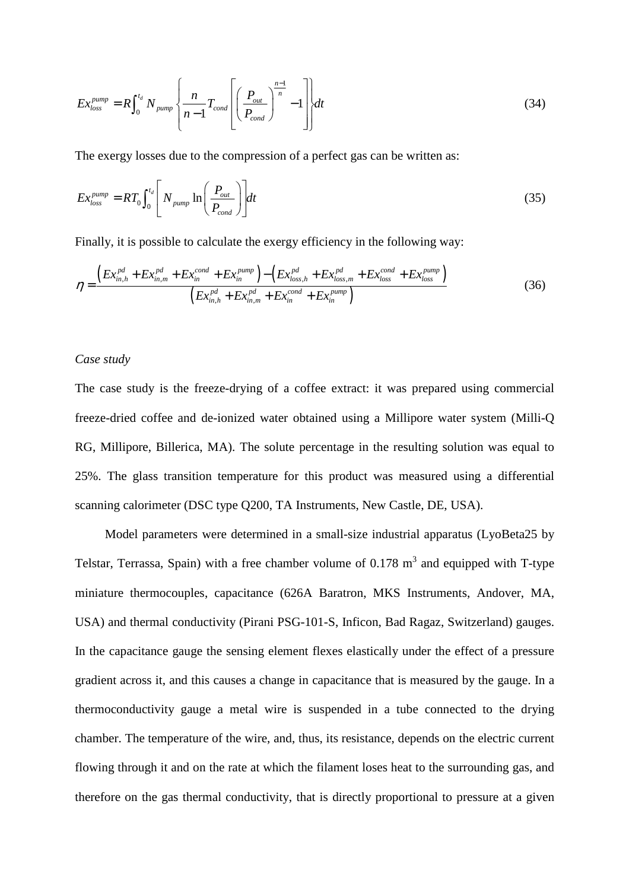$$
Ex_{loss}^{pump} = R \int_0^{t_d} N_{pump} \left\{ \frac{n}{n-1} T_{cond} \left[ \left( \frac{P_{out}}{P_{cond}} \right)^{\frac{n-1}{n}} - 1 \right] \right\} dt \tag{34}
$$

The exergy losses due to the compression of a perfect gas can be written as:

$$
Ex_{loss}^{pump} = RT_0 \int_0^{t_d} \left[ N_{pump} \ln \left( \frac{P_{out}}{P_{cond}} \right) \right] dt \tag{35}
$$

Finally, it is possible to calculate the exergy efficiency in the following way:

$$
\eta = \frac{\left(Ex_{in,h}^{pd} + Ex_{in,m}^{pd} + Ex_{in}^{cond} + Ex_{in}^{pump}\right) - \left(Ex_{loss,h}^{pd} + Ex_{loss,m}^{pd} + Ex_{loss}^{cond} + Ex_{loss}^{pump}\right)}{\left(Ex_{in,h}^{pd} + Ex_{in,m}^{pd} + Ex_{in}^{cond} + Ex_{in}^{pump}\right)}
$$
(36)

#### *Case study*

The case study is the freeze-drying of a coffee extract: it was prepared using commercial freeze-dried coffee and de-ionized water obtained using a Millipore water system (Milli-Q RG, Millipore, Billerica, MA). The solute percentage in the resulting solution was equal to 25%. The glass transition temperature for this product was measured using a differential scanning calorimeter (DSC type Q200, TA Instruments, New Castle, DE, USA).

 Model parameters were determined in a small-size industrial apparatus (LyoBeta25 by Telstar, Terrassa, Spain) with a free chamber volume of 0.178  $m<sup>3</sup>$  and equipped with T-type miniature thermocouples, capacitance (626A Baratron, MKS Instruments, Andover, MA, USA) and thermal conductivity (Pirani PSG-101-S, Inficon, Bad Ragaz, Switzerland) gauges. In the capacitance gauge the sensing element flexes elastically under the effect of a pressure gradient across it, and this causes a change in capacitance that is measured by the gauge. In a thermoconductivity gauge a metal wire is suspended in a tube connected to the drying chamber. The temperature of the wire, and, thus, its resistance, depends on the electric current flowing through it and on the rate at which the filament loses heat to the surrounding gas, and therefore on the gas thermal conductivity, that is directly proportional to pressure at a given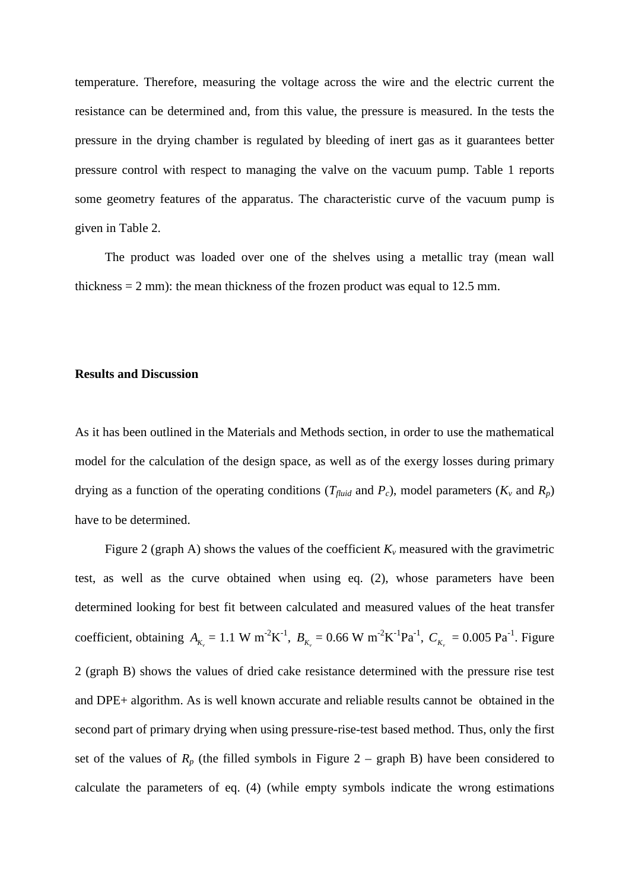temperature. Therefore, measuring the voltage across the wire and the electric current the resistance can be determined and, from this value, the pressure is measured. In the tests the pressure in the drying chamber is regulated by bleeding of inert gas as it guarantees better pressure control with respect to managing the valve on the vacuum pump. Table 1 reports some geometry features of the apparatus. The characteristic curve of the vacuum pump is given in Table 2.

 The product was loaded over one of the shelves using a metallic tray (mean wall thickness  $= 2$  mm): the mean thickness of the frozen product was equal to 12.5 mm.

#### **Results and Discussion**

As it has been outlined in the Materials and Methods section, in order to use the mathematical model for the calculation of the design space, as well as of the exergy losses during primary drying as a function of the operating conditions ( $T_{fluid}$  and  $P_c$ ), model parameters ( $K_v$  and  $R_p$ ) have to be determined.

Figure 2 (graph A) shows the values of the coefficient  $K_v$  measured with the gravimetric test, as well as the curve obtained when using eq. (2), whose parameters have been determined looking for best fit between calculated and measured values of the heat transfer coefficient, obtaining  $A_{K_v} = 1.1 \text{ W m}^{-2} \text{K}^{-1}$ ,  $B_{K_v} = 0.66 \text{ W m}^{-2} \text{K}^{-1} \text{Pa}^{-1}$ ,  $C_{K_v} = 0.005 \text{ Pa}^{-1}$ . Figure 2 (graph B) shows the values of dried cake resistance determined with the pressure rise test and DPE+ algorithm. As is well known accurate and reliable results cannot be obtained in the second part of primary drying when using pressure-rise-test based method. Thus, only the first set of the values of  $R_p$  (the filled symbols in Figure 2 – graph B) have been considered to calculate the parameters of eq. (4) (while empty symbols indicate the wrong estimations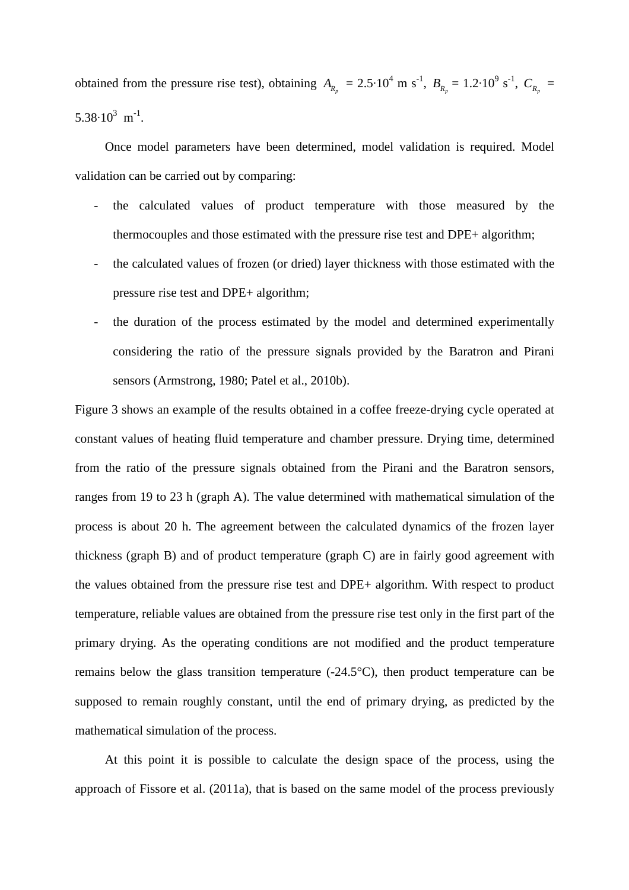obtained from the pressure rise test), obtaining  $A_{R_p} = 2.5 \cdot 10^4$  m s<sup>-1</sup>,  $B_{R_p} = 1.2 \cdot 10^9$  s<sup>-1</sup>,  $C_{R_p} = 1.2 \cdot 10^9$  $5.38 \cdot 10^3$  m<sup>-1</sup>.

 Once model parameters have been determined, model validation is required. Model validation can be carried out by comparing:

- the calculated values of product temperature with those measured by the thermocouples and those estimated with the pressure rise test and DPE+ algorithm;
- the calculated values of frozen (or dried) layer thickness with those estimated with the pressure rise test and DPE+ algorithm;
- the duration of the process estimated by the model and determined experimentally considering the ratio of the pressure signals provided by the Baratron and Pirani sensors (Armstrong, 1980; Patel et al., 2010b).

Figure 3 shows an example of the results obtained in a coffee freeze-drying cycle operated at constant values of heating fluid temperature and chamber pressure. Drying time, determined from the ratio of the pressure signals obtained from the Pirani and the Baratron sensors, ranges from 19 to 23 h (graph A). The value determined with mathematical simulation of the process is about 20 h. The agreement between the calculated dynamics of the frozen layer thickness (graph B) and of product temperature (graph C) are in fairly good agreement with the values obtained from the pressure rise test and DPE+ algorithm. With respect to product temperature, reliable values are obtained from the pressure rise test only in the first part of the primary drying. As the operating conditions are not modified and the product temperature remains below the glass transition temperature (-24.5°C), then product temperature can be supposed to remain roughly constant, until the end of primary drying, as predicted by the mathematical simulation of the process.

 At this point it is possible to calculate the design space of the process, using the approach of Fissore et al. (2011a), that is based on the same model of the process previously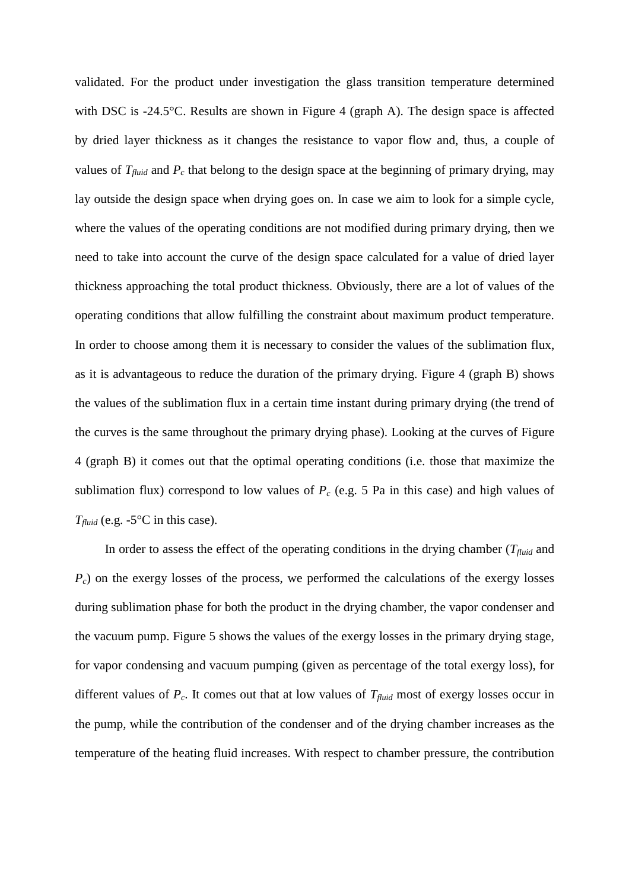validated. For the product under investigation the glass transition temperature determined with DSC is -24.5°C. Results are shown in Figure 4 (graph A). The design space is affected by dried layer thickness as it changes the resistance to vapor flow and, thus, a couple of values of  $T_{fluid}$  and  $P_c$  that belong to the design space at the beginning of primary drying, may lay outside the design space when drying goes on. In case we aim to look for a simple cycle, where the values of the operating conditions are not modified during primary drying, then we need to take into account the curve of the design space calculated for a value of dried layer thickness approaching the total product thickness. Obviously, there are a lot of values of the operating conditions that allow fulfilling the constraint about maximum product temperature. In order to choose among them it is necessary to consider the values of the sublimation flux, as it is advantageous to reduce the duration of the primary drying. Figure 4 (graph B) shows the values of the sublimation flux in a certain time instant during primary drying (the trend of the curves is the same throughout the primary drying phase). Looking at the curves of Figure 4 (graph B) it comes out that the optimal operating conditions (i.e. those that maximize the sublimation flux) correspond to low values of  $P_c$  (e.g. 5 Pa in this case) and high values of  $T_{fluid}$  (e.g. -5 $\degree$ C in this case).

In order to assess the effect of the operating conditions in the drying chamber ( $T_{fluid}$  and *P<sub>c</sub>*) on the exergy losses of the process, we performed the calculations of the exergy losses during sublimation phase for both the product in the drying chamber, the vapor condenser and the vacuum pump. Figure 5 shows the values of the exergy losses in the primary drying stage, for vapor condensing and vacuum pumping (given as percentage of the total exergy loss), for different values of  $P_c$ . It comes out that at low values of  $T_{fluid}$  most of exergy losses occur in the pump, while the contribution of the condenser and of the drying chamber increases as the temperature of the heating fluid increases. With respect to chamber pressure, the contribution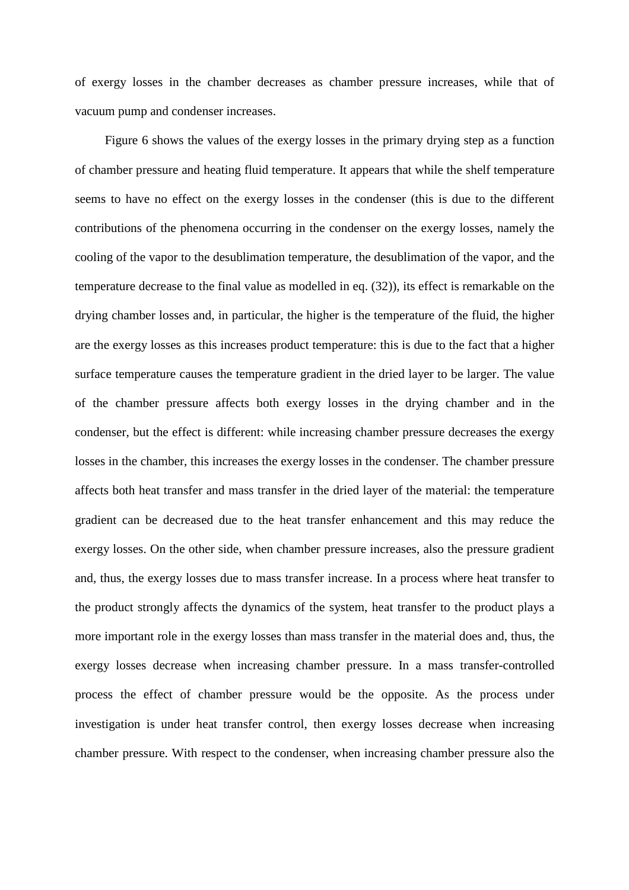of exergy losses in the chamber decreases as chamber pressure increases, while that of vacuum pump and condenser increases.

 Figure 6 shows the values of the exergy losses in the primary drying step as a function of chamber pressure and heating fluid temperature. It appears that while the shelf temperature seems to have no effect on the exergy losses in the condenser (this is due to the different contributions of the phenomena occurring in the condenser on the exergy losses, namely the cooling of the vapor to the desublimation temperature, the desublimation of the vapor, and the temperature decrease to the final value as modelled in eq. (32)), its effect is remarkable on the drying chamber losses and, in particular, the higher is the temperature of the fluid, the higher are the exergy losses as this increases product temperature: this is due to the fact that a higher surface temperature causes the temperature gradient in the dried layer to be larger. The value of the chamber pressure affects both exergy losses in the drying chamber and in the condenser, but the effect is different: while increasing chamber pressure decreases the exergy losses in the chamber, this increases the exergy losses in the condenser. The chamber pressure affects both heat transfer and mass transfer in the dried layer of the material: the temperature gradient can be decreased due to the heat transfer enhancement and this may reduce the exergy losses. On the other side, when chamber pressure increases, also the pressure gradient and, thus, the exergy losses due to mass transfer increase. In a process where heat transfer to the product strongly affects the dynamics of the system, heat transfer to the product plays a more important role in the exergy losses than mass transfer in the material does and, thus, the exergy losses decrease when increasing chamber pressure. In a mass transfer-controlled process the effect of chamber pressure would be the opposite. As the process under investigation is under heat transfer control, then exergy losses decrease when increasing chamber pressure. With respect to the condenser, when increasing chamber pressure also the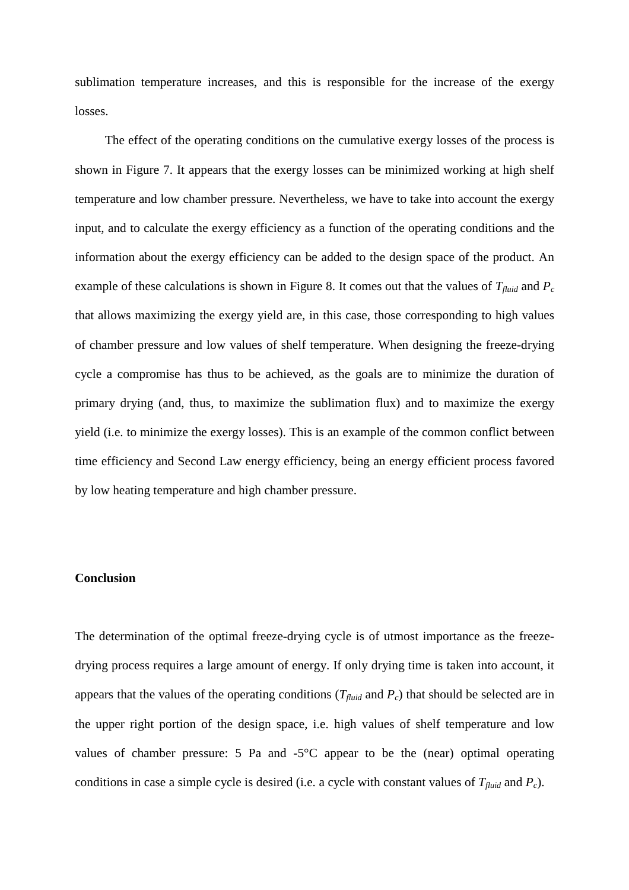sublimation temperature increases, and this is responsible for the increase of the exergy losses.

 The effect of the operating conditions on the cumulative exergy losses of the process is shown in Figure 7. It appears that the exergy losses can be minimized working at high shelf temperature and low chamber pressure. Nevertheless, we have to take into account the exergy input, and to calculate the exergy efficiency as a function of the operating conditions and the information about the exergy efficiency can be added to the design space of the product. An example of these calculations is shown in Figure 8. It comes out that the values of *Tfluid* and *P<sup>c</sup>* that allows maximizing the exergy yield are, in this case, those corresponding to high values of chamber pressure and low values of shelf temperature. When designing the freeze-drying cycle a compromise has thus to be achieved, as the goals are to minimize the duration of primary drying (and, thus, to maximize the sublimation flux) and to maximize the exergy yield (i.e. to minimize the exergy losses). This is an example of the common conflict between time efficiency and Second Law energy efficiency, being an energy efficient process favored by low heating temperature and high chamber pressure.

#### **Conclusion**

The determination of the optimal freeze-drying cycle is of utmost importance as the freezedrying process requires a large amount of energy. If only drying time is taken into account, it appears that the values of the operating conditions ( $T_{fluid}$  and  $P_c$ ) that should be selected are in the upper right portion of the design space, i.e. high values of shelf temperature and low values of chamber pressure: 5 Pa and -5°C appear to be the (near) optimal operating conditions in case a simple cycle is desired (i.e. a cycle with constant values of  $T_{fluid}$  and  $P_c$ ).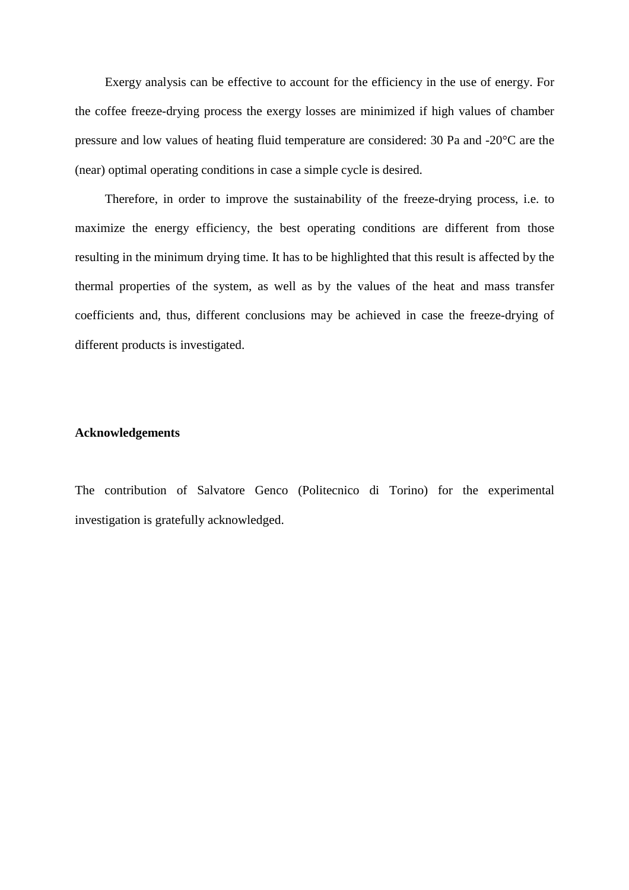Exergy analysis can be effective to account for the efficiency in the use of energy. For the coffee freeze-drying process the exergy losses are minimized if high values of chamber pressure and low values of heating fluid temperature are considered: 30 Pa and -20°C are the (near) optimal operating conditions in case a simple cycle is desired.

Therefore, in order to improve the sustainability of the freeze-drying process, i.e. to maximize the energy efficiency, the best operating conditions are different from those resulting in the minimum drying time. It has to be highlighted that this result is affected by the thermal properties of the system, as well as by the values of the heat and mass transfer coefficients and, thus, different conclusions may be achieved in case the freeze-drying of different products is investigated.

#### **Acknowledgements**

The contribution of Salvatore Genco (Politecnico di Torino) for the experimental investigation is gratefully acknowledged.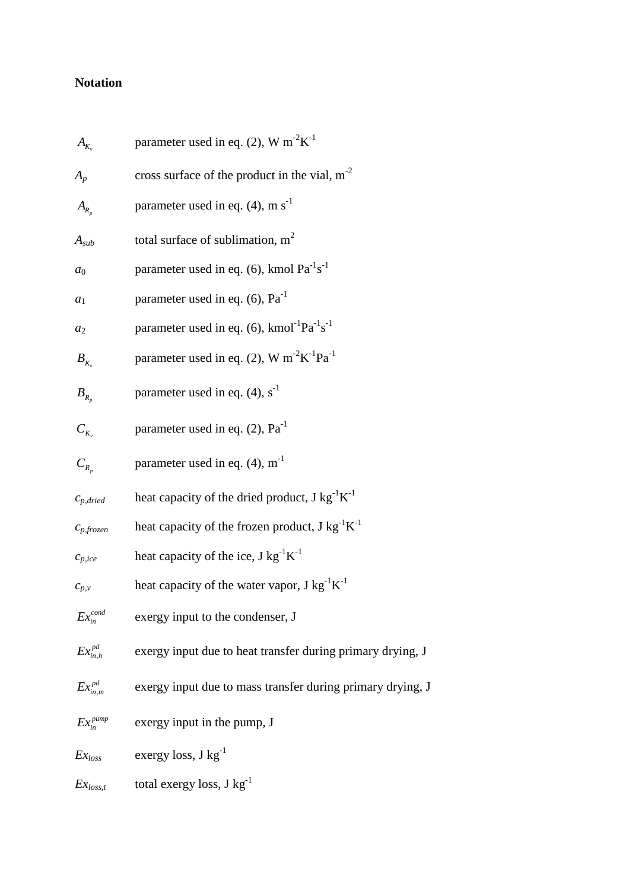## **Notation**

| $A_{K}$                 | parameter used in eq. (2), W $m^{-2}K^{-1}$                                    |
|-------------------------|--------------------------------------------------------------------------------|
| $A_p$                   | cross surface of the product in the vial, $m-2$                                |
| $A_{R_p}$               | parameter used in eq. $(4)$ , m s <sup>-1</sup>                                |
| $A_{sub}$               | total surface of sublimation, $m2$                                             |
| $a_0$                   | parameter used in eq. (6), kmol $Pa^{-1}s^{-1}$                                |
| $a_1$                   | parameter used in eq. (6), $Pa^{-1}$                                           |
| $a_2$                   | parameter used in eq. (6), kmol <sup>-1</sup> Pa <sup>-1</sup> s <sup>-1</sup> |
| $B_{K}$                 | parameter used in eq. (2), W $m^{-2}K^{-1}Pa^{-1}$                             |
| $B_{R_n}$               | parameter used in eq. $(4)$ , s <sup>-1</sup>                                  |
| $C_{K_{v}}$             | parameter used in eq. $(2)$ , $Pa^{-1}$                                        |
| $C_{R_n}$               | parameter used in eq. $(4)$ , m <sup>-1</sup>                                  |
| $c_{p,dried}$           | heat capacity of the dried product, $J kg^{-1}K^{-1}$                          |
| $c_{p, frozen}$         | heat capacity of the frozen product, $J kg^{-1}K^{-1}$                         |
| $c_{p,ice}$             | heat capacity of the ice, $J kg^{-1}K^{-1}$                                    |
| $c_{p,\nu}$             | heat capacity of the water vapor, $J kg^{-1}K^{-1}$                            |
| $Ex_{in}^{cond}$        | exergy input to the condenser, J                                               |
| $Ex^{pd}_{in,h}$        | exergy input due to heat transfer during primary drying, J                     |
| $Ex_{\text{in }m}^{pd}$ | exergy input due to mass transfer during primary drying, J                     |
| $Ex_{in}^{pump}$        | exergy input in the pump, J                                                    |
| $Ex_{loss}$             | exergy loss, $J kg^{-1}$                                                       |
| $Ex_{loss,t}$           | total exergy loss, $J kg^{-1}$                                                 |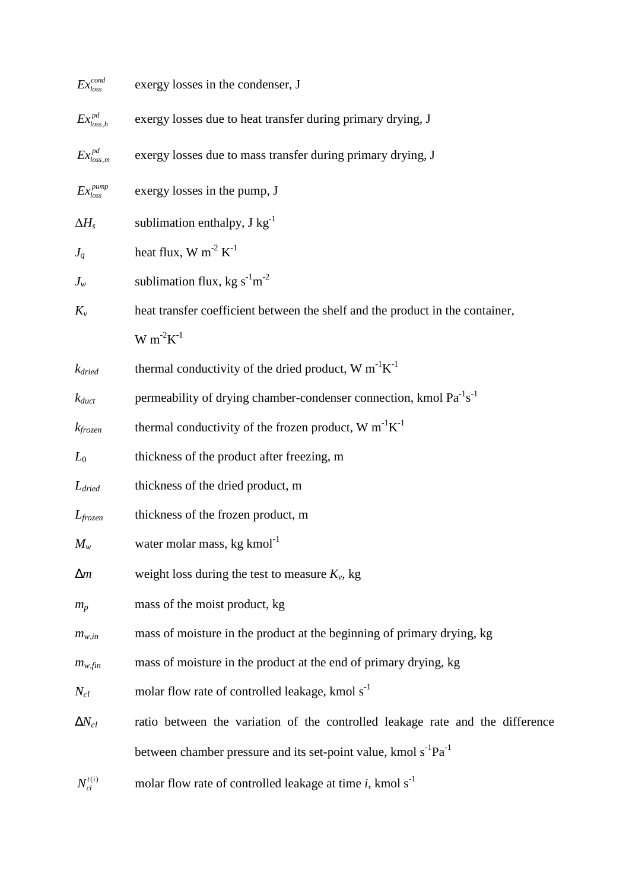| $Ex_{loss}^{cond}$          | exergy losses in the condenser, J                                                          |
|-----------------------------|--------------------------------------------------------------------------------------------|
| $\mathit{Ex}_{loss,h}^{pd}$ | exergy losses due to heat transfer during primary drying, J                                |
| $Ex^{pd}_{loss,m}$          | exergy losses due to mass transfer during primary drying, J                                |
| $Ex_{loss}^{pump}$          | exergy losses in the pump, J                                                               |
| $\Delta H_s$                | sublimation enthalpy, $J kg^{-1}$                                                          |
| $J_q$                       | heat flux, W m <sup>-2</sup> $K^{-1}$                                                      |
| $J_w$                       | sublimation flux, kg s <sup>-1</sup> m <sup>-2</sup>                                       |
| $K_v$                       | heat transfer coefficient between the shelf and the product in the container,              |
|                             | $W m^{-2} K^{-1}$                                                                          |
| $k_{dried}$                 | thermal conductivity of the dried product, $W m^{-1}K^{-1}$                                |
| $k_{duct}$                  | permeability of drying chamber-condenser connection, kmol Pa <sup>-1</sup> s <sup>-1</sup> |
| $k$ frozen                  | thermal conductivity of the frozen product, W $m^{-1}K^{-1}$                               |
| $L_0$                       | thickness of the product after freezing, m                                                 |
| $L_{dried}$                 | thickness of the dried product, m                                                          |
| $L_{frozen}$                | thickness of the frozen product, m                                                         |
| $M_w$                       | water molar mass, kg kmol <sup>-1</sup>                                                    |
| $\Delta m$                  | weight loss during the test to measure $K_v$ , kg                                          |
| $m_p$                       | mass of the moist product, kg                                                              |
| $m_{w,in}$                  | mass of moisture in the product at the beginning of primary drying, kg                     |
| $m_{w,fin}$                 | mass of moisture in the product at the end of primary drying, kg                           |
| $N_{cl}$                    | molar flow rate of controlled leakage, kmol s <sup>-1</sup>                                |
| $\Delta N_{cl}$             | ratio between the variation of the controlled leakage rate and the difference              |
|                             | between chamber pressure and its set-point value, kmol s <sup>-1</sup> Pa <sup>-1</sup>    |
| $N_{cl}^{t(i)}$             | molar flow rate of controlled leakage at time $i$ , kmol $s^{-1}$                          |
|                             |                                                                                            |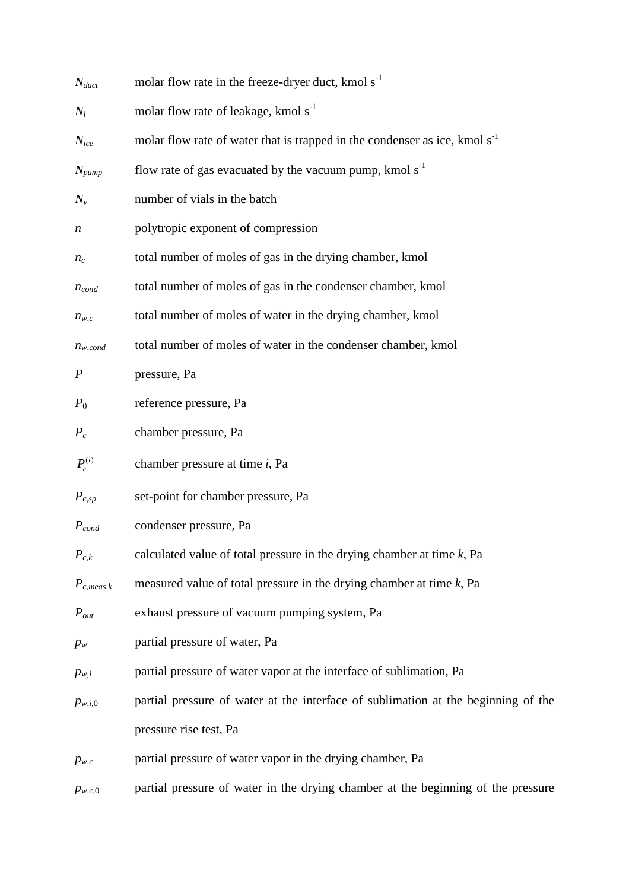| $N_{duct}$       | molar flow rate in the freeze-dryer duct, kmol s <sup>-1</sup>                         |
|------------------|----------------------------------------------------------------------------------------|
| $N_l$            | molar flow rate of leakage, kmol s <sup>-1</sup>                                       |
| $N_{ice}$        | molar flow rate of water that is trapped in the condenser as ice, kmol s <sup>-1</sup> |
| $N_{pump}$       | flow rate of gas evacuated by the vacuum pump, kmol $s^{-1}$                           |
| $N_{\nu}$        | number of vials in the batch                                                           |
| n                | polytropic exponent of compression                                                     |
| $n_c$            | total number of moles of gas in the drying chamber, kmol                               |
| $n_{cond}$       | total number of moles of gas in the condenser chamber, kmol                            |
| $n_{w,c}$        | total number of moles of water in the drying chamber, kmol                             |
| $n_{w,cond}$     | total number of moles of water in the condenser chamber, kmol                          |
| $\boldsymbol{P}$ | pressure, Pa                                                                           |
| $P_0$            | reference pressure, Pa                                                                 |
| $P_c$            | chamber pressure, Pa                                                                   |
| $P_c^{(i)}$      | chamber pressure at time <i>i</i> , Pa                                                 |
| $P_{c,sp}$       | set-point for chamber pressure, Pa                                                     |
| $P_{cond}$       | condenser pressure, Pa                                                                 |
| $P_{c,k}$        | calculated value of total pressure in the drying chamber at time $k$ , Pa              |
| $P_{c,meas,k}$   | measured value of total pressure in the drying chamber at time $k$ , Pa                |
| $P_{out}$        | exhaust pressure of vacuum pumping system, Pa                                          |
| $p_w$            | partial pressure of water, Pa                                                          |
| $p_{w,i}$        | partial pressure of water vapor at the interface of sublimation, Pa                    |
| $p_{w,i,0}$      | partial pressure of water at the interface of sublimation at the beginning of the      |
|                  | pressure rise test, Pa                                                                 |
| $p_{w,c}$        | partial pressure of water vapor in the drying chamber, Pa                              |
| $p_{w,c,0}$      | partial pressure of water in the drying chamber at the beginning of the pressure       |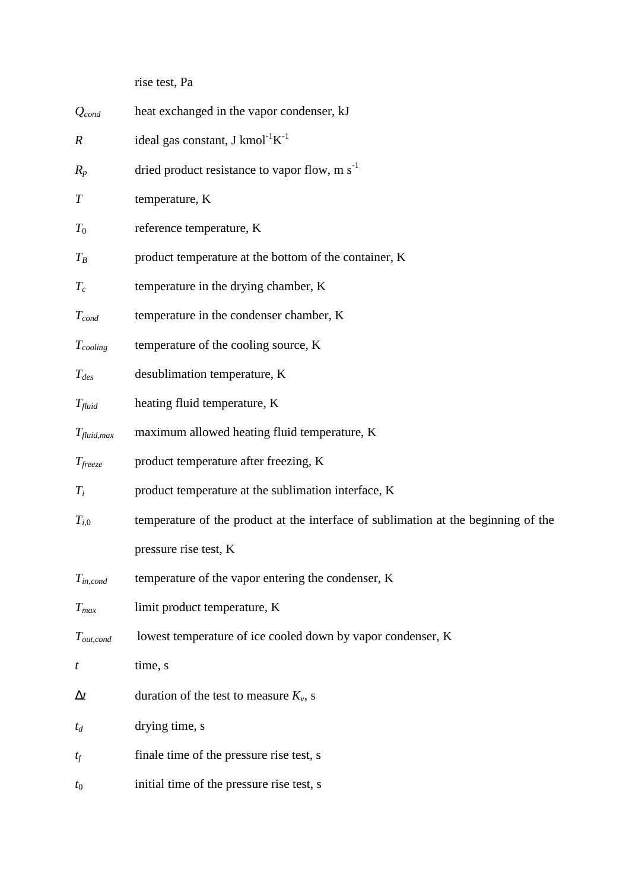rise test, Pa

| $Q_{cond}$          | heat exchanged in the vapor condenser, kJ                                          |
|---------------------|------------------------------------------------------------------------------------|
| $\boldsymbol{R}$    | ideal gas constant, J kmol <sup>-1</sup> $K^{-1}$                                  |
| $R_p$               | dried product resistance to vapor flow, $m s^{-1}$                                 |
| $\, T \,$           | temperature, K                                                                     |
| $\scriptstyle T_0$  | reference temperature, K                                                           |
| $T_B$               | product temperature at the bottom of the container, K                              |
| $T_c$               | temperature in the drying chamber, K                                               |
| $T_{cond}$          | temperature in the condenser chamber, K                                            |
| $T_{cooling}$       | temperature of the cooling source, K                                               |
| $T_{des}$           | desublimation temperature, K                                                       |
| $T_{fluid}$         | heating fluid temperature, K                                                       |
| $T_{fluid,max}$     | maximum allowed heating fluid temperature, K                                       |
| $T_{\text{freeze}}$ | product temperature after freezing, K                                              |
| $T_i$               | product temperature at the sublimation interface, K                                |
| $T_{i,0}$           | temperature of the product at the interface of sublimation at the beginning of the |
|                     | pressure rise test, K                                                              |
| $T_{in,cond}$       | temperature of the vapor entering the condenser, K                                 |
| $T_{max}$           | limit product temperature, K                                                       |
| $T_{out,cond}$      | lowest temperature of ice cooled down by vapor condenser, K                        |
| t                   | time, s                                                                            |
| $\Delta t$          | duration of the test to measure $K_v$ , s                                          |
| $t_d$               | drying time, s                                                                     |
| $t_f$               | finale time of the pressure rise test, s                                           |
| $t_{0}$             | initial time of the pressure rise test, s                                          |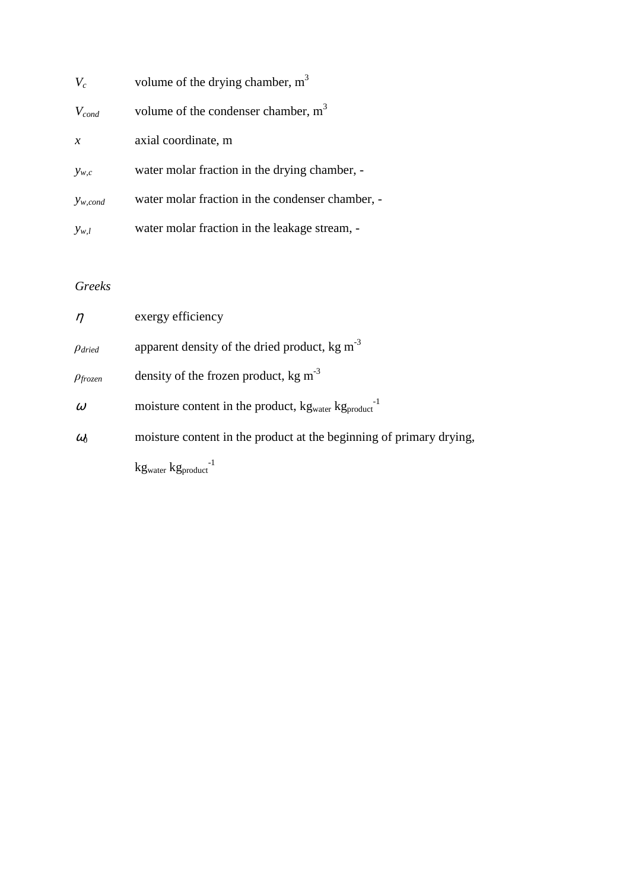| $V_c$         | volume of the drying chamber, $m3$               |
|---------------|--------------------------------------------------|
| $V_{cond}$    | volume of the condenser chamber, $m3$            |
| $\mathcal{X}$ | axial coordinate, m                              |
| $y_{w,c}$     | water molar fraction in the drying chamber, -    |
| $y_{w,cond}$  | water molar fraction in the condenser chamber, - |
| $y_{w,l}$     | water molar fraction in the leakage stream, -    |

## *Greeks*

| $\eta$          | exergy efficiency                                                                        |
|-----------------|------------------------------------------------------------------------------------------|
| $\rho_{dried}$  | apparent density of the dried product, $kg \, \text{m}^{-3}$                             |
| $\rho_{frozen}$ | density of the frozen product, $kg \text{ m}^{-3}$                                       |
| $\omega$        | moisture content in the product, kg <sub>water</sub> kg <sub>product</sub> <sup>-1</sup> |
| $\omega$        | moisture content in the product at the beginning of primary drying,                      |
|                 | $kg_{water}$ $kg_{product}$ <sup>-1</sup>                                                |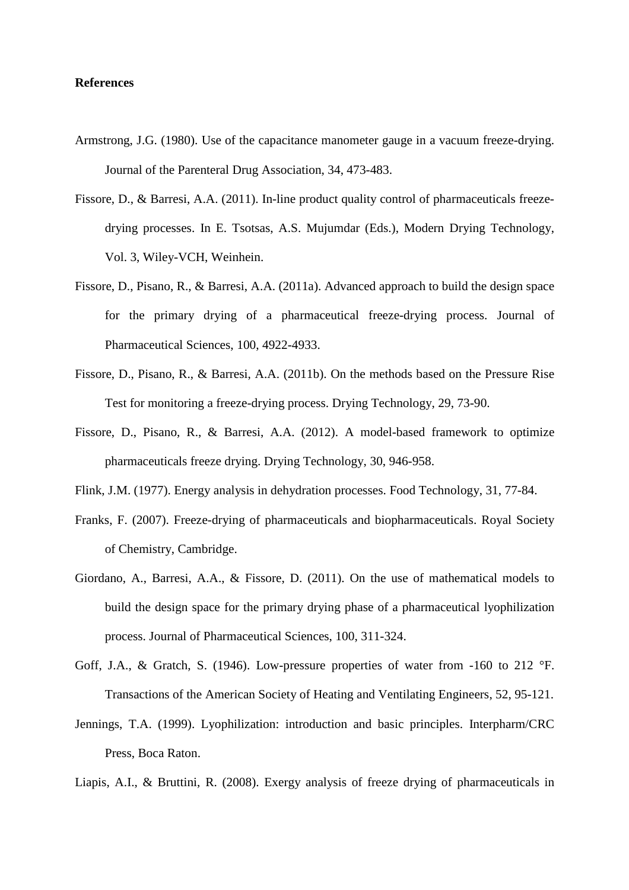#### **References**

- Armstrong, J.G. (1980). Use of the capacitance manometer gauge in a vacuum freeze-drying. Journal of the Parenteral Drug Association, 34, 473-483.
- Fissore, D., & Barresi, A.A. (2011). In-line product quality control of pharmaceuticals freezedrying processes. In E. Tsotsas, A.S. Mujumdar (Eds.), Modern Drying Technology, Vol. 3, Wiley-VCH, Weinhein.
- Fissore, D., Pisano, R., & Barresi, A.A. (2011a). Advanced approach to build the design space for the primary drying of a pharmaceutical freeze-drying process. Journal of Pharmaceutical Sciences, 100, 4922-4933.
- Fissore, D., Pisano, R., & Barresi, A.A. (2011b). On the methods based on the Pressure Rise Test for monitoring a freeze-drying process. Drying Technology, 29, 73-90.
- Fissore, D., Pisano, R., & Barresi, A.A. (2012). A model-based framework to optimize pharmaceuticals freeze drying. Drying Technology, 30, 946-958.
- Flink, J.M. (1977). Energy analysis in dehydration processes. Food Technology, 31, 77-84.
- Franks, F. (2007). Freeze-drying of pharmaceuticals and biopharmaceuticals. Royal Society of Chemistry, Cambridge.
- Giordano, A., Barresi, A.A., & Fissore, D. (2011). On the use of mathematical models to build the design space for the primary drying phase of a pharmaceutical lyophilization process. Journal of Pharmaceutical Sciences, 100, 311-324.
- Goff, J.A., & Gratch, S. (1946). Low-pressure properties of water from -160 to 212 °F. Transactions of the American Society of Heating and Ventilating Engineers, 52, 95-121.
- Jennings, T.A. (1999). Lyophilization: introduction and basic principles. Interpharm/CRC Press, Boca Raton.
- Liapis, A.I., & Bruttini, R. (2008). Exergy analysis of freeze drying of pharmaceuticals in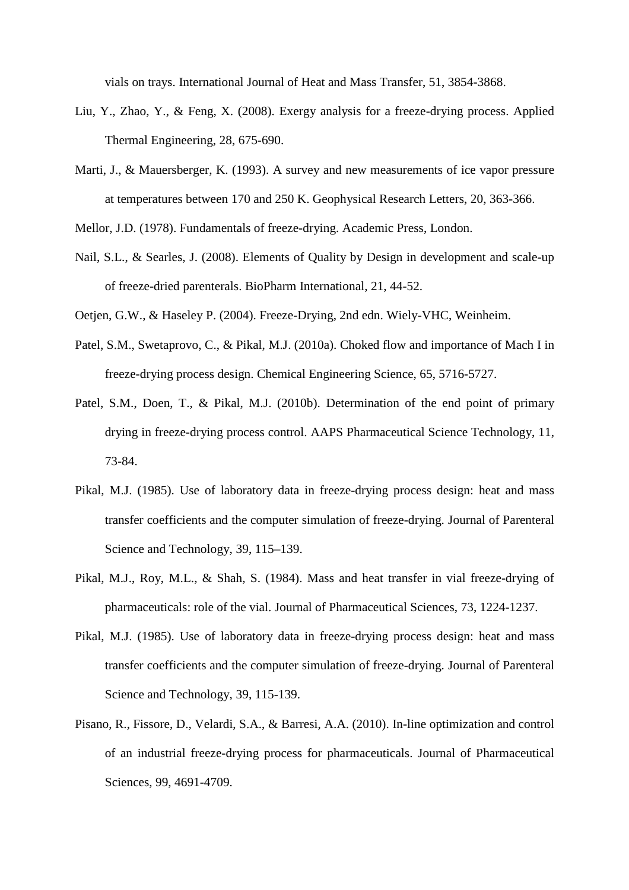vials on trays. International Journal of Heat and Mass Transfer, 51, 3854-3868.

- Liu, Y., Zhao, Y., & Feng, X. (2008). Exergy analysis for a freeze-drying process. Applied Thermal Engineering, 28, 675-690.
- Marti, J., & Mauersberger, K. (1993). A survey and new measurements of ice vapor pressure at temperatures between 170 and 250 K. Geophysical Research Letters, 20, 363-366.
- Mellor, J.D. (1978). Fundamentals of freeze-drying. Academic Press, London.
- Nail, S.L., & Searles, J. (2008). Elements of Quality by Design in development and scale-up of freeze-dried parenterals. BioPharm International, 21, 44-52.
- Oetjen, G.W., & Haseley P. (2004). Freeze-Drying, 2nd edn. Wiely-VHC, Weinheim.
- Patel, S.M., Swetaprovo, C., & Pikal, M.J. (2010a). Choked flow and importance of Mach I in freeze-drying process design. Chemical Engineering Science, 65, 5716-5727.
- Patel, S.M., Doen, T., & Pikal, M.J. (2010b). Determination of the end point of primary drying in freeze-drying process control. AAPS Pharmaceutical Science Technology, 11, 73-84.
- Pikal, M.J. (1985). Use of laboratory data in freeze-drying process design: heat and mass transfer coefficients and the computer simulation of freeze-drying. Journal of Parenteral Science and Technology, 39, 115–139.
- Pikal, M.J., Roy, M.L., & Shah, S. (1984). Mass and heat transfer in vial freeze-drying of pharmaceuticals: role of the vial. Journal of Pharmaceutical Sciences, 73, 1224-1237.
- Pikal, M.J. (1985). Use of laboratory data in freeze-drying process design: heat and mass transfer coefficients and the computer simulation of freeze-drying. Journal of Parenteral Science and Technology, 39, 115-139.
- Pisano, R., Fissore, D., Velardi, S.A., & Barresi, A.A. (2010). In-line optimization and control of an industrial freeze-drying process for pharmaceuticals. Journal of Pharmaceutical Sciences, 99, 4691-4709.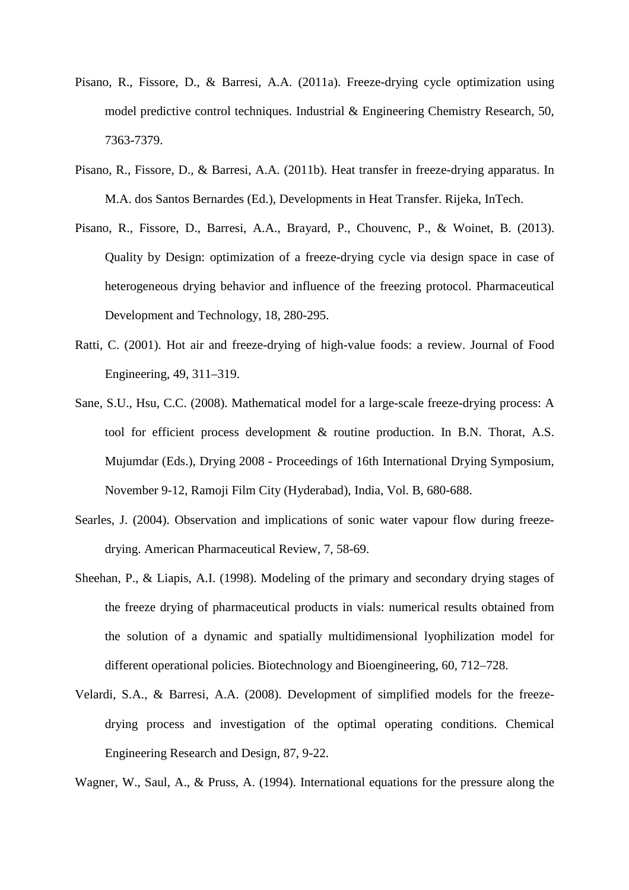- Pisano, R., Fissore, D., & Barresi, A.A. (2011a). Freeze-drying cycle optimization using model predictive control techniques. Industrial & Engineering Chemistry Research, 50, 7363-7379.
- Pisano, R., Fissore, D., & Barresi, A.A. (2011b). Heat transfer in freeze-drying apparatus. In M.A. dos Santos Bernardes (Ed.), Developments in Heat Transfer. Rijeka, InTech.
- Pisano, R., Fissore, D., Barresi, A.A., Brayard, P., Chouvenc, P., & Woinet, B. (2013). Quality by Design: optimization of a freeze-drying cycle via design space in case of heterogeneous drying behavior and influence of the freezing protocol. Pharmaceutical Development and Technology, 18, 280-295.
- Ratti, C. (2001). Hot air and freeze-drying of high-value foods: a review. Journal of Food Engineering, 49, 311–319.
- Sane, S.U., Hsu, C.C. (2008). Mathematical model for a large-scale freeze-drying process: A tool for efficient process development & routine production. In B.N. Thorat, A.S. Mujumdar (Eds.), Drying 2008 - Proceedings of 16th International Drying Symposium, November 9-12, Ramoji Film City (Hyderabad), India, Vol. B, 680-688.
- Searles, J. (2004). Observation and implications of sonic water vapour flow during freezedrying. American Pharmaceutical Review, 7, 58-69.
- Sheehan, P., & Liapis, A.I. (1998). Modeling of the primary and secondary drying stages of the freeze drying of pharmaceutical products in vials: numerical results obtained from the solution of a dynamic and spatially multidimensional lyophilization model for different operational policies. Biotechnology and Bioengineering, 60, 712–728.
- Velardi, S.A., & Barresi, A.A. (2008). Development of simplified models for the freezedrying process and investigation of the optimal operating conditions. Chemical Engineering Research and Design, 87, 9-22.

Wagner, W., Saul, A., & Pruss, A. (1994). International equations for the pressure along the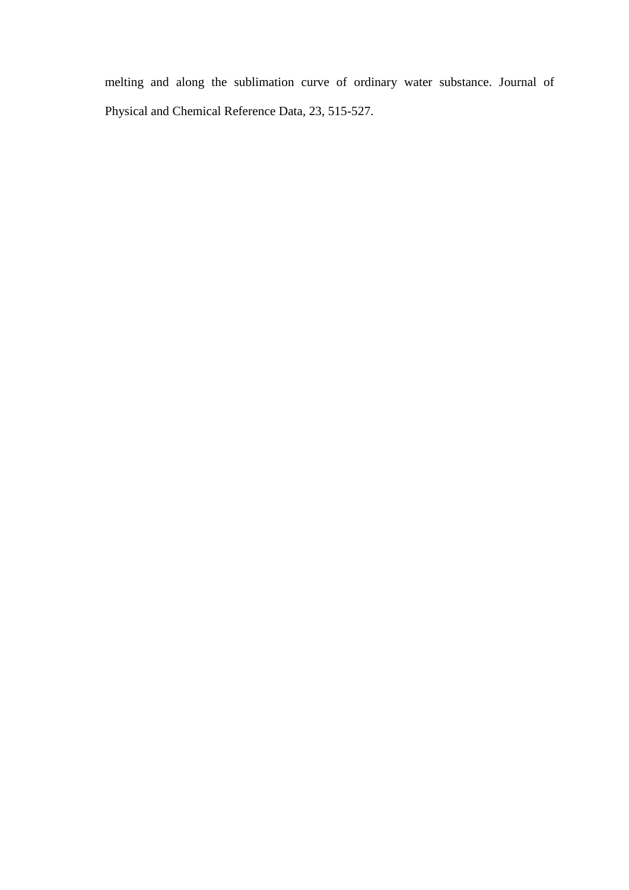melting and along the sublimation curve of ordinary water substance. Journal of Physical and Chemical Reference Data, 23, 515-527.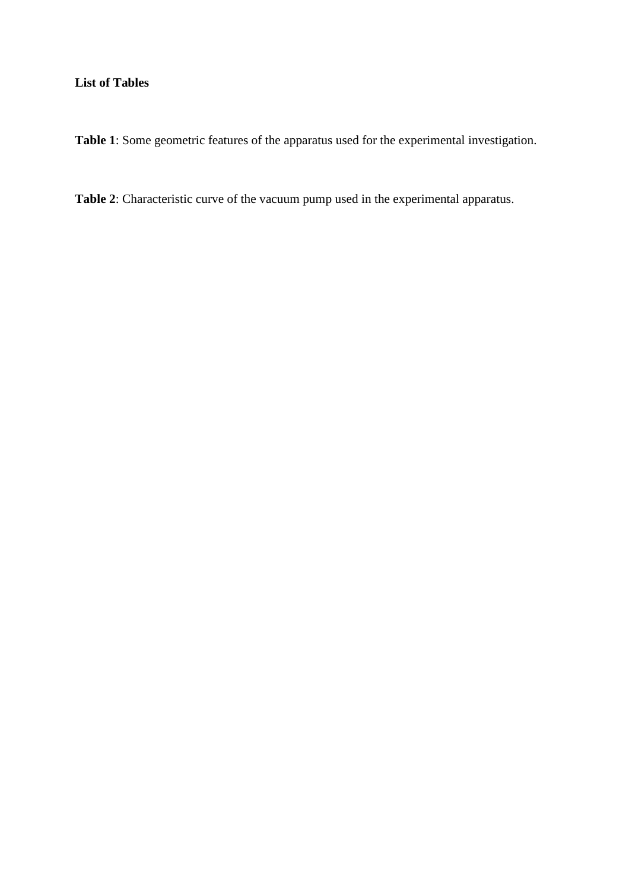## **List of Tables**

**Table 1**: Some geometric features of the apparatus used for the experimental investigation.

**Table 2**: Characteristic curve of the vacuum pump used in the experimental apparatus.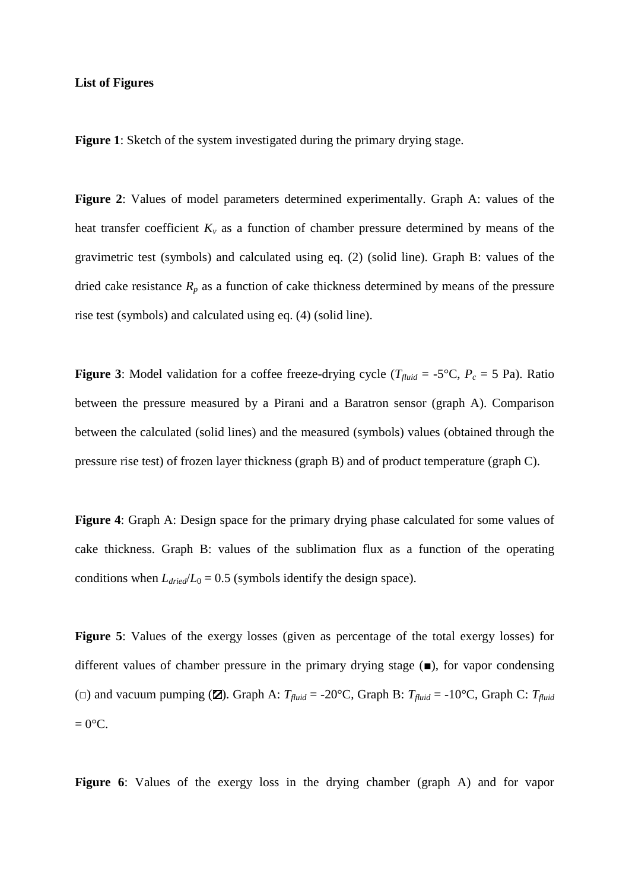#### **List of Figures**

**Figure 1**: Sketch of the system investigated during the primary drying stage.

**Figure 2**: Values of model parameters determined experimentally. Graph A: values of the heat transfer coefficient  $K_v$  as a function of chamber pressure determined by means of the gravimetric test (symbols) and calculated using eq. (2) (solid line). Graph B: values of the dried cake resistance  $R_p$  as a function of cake thickness determined by means of the pressure rise test (symbols) and calculated using eq. (4) (solid line).

**Figure 3**: Model validation for a coffee freeze-drying cycle ( $T_{fluid}$  = -5°C,  $P_c$  = 5 Pa). Ratio between the pressure measured by a Pirani and a Baratron sensor (graph A). Comparison between the calculated (solid lines) and the measured (symbols) values (obtained through the pressure rise test) of frozen layer thickness (graph B) and of product temperature (graph C).

**Figure 4**: Graph A: Design space for the primary drying phase calculated for some values of cake thickness. Graph B: values of the sublimation flux as a function of the operating conditions when  $L_{dried}/L_0 = 0.5$  (symbols identify the design space).

**Figure 5**: Values of the exergy losses (given as percentage of the total exergy losses) for different values of chamber pressure in the primary drying stage (■), for vapor condensing ( $\Box$ ) and vacuum pumping ( $\Box$ ). Graph A:  $T_{fluid} = -20^{\circ}\text{C}$ , Graph B:  $T_{fluid} = -10^{\circ}\text{C}$ , Graph C:  $T_{fluid}$  $= 0$ °C.

**Figure 6**: Values of the exergy loss in the drying chamber (graph A) and for vapor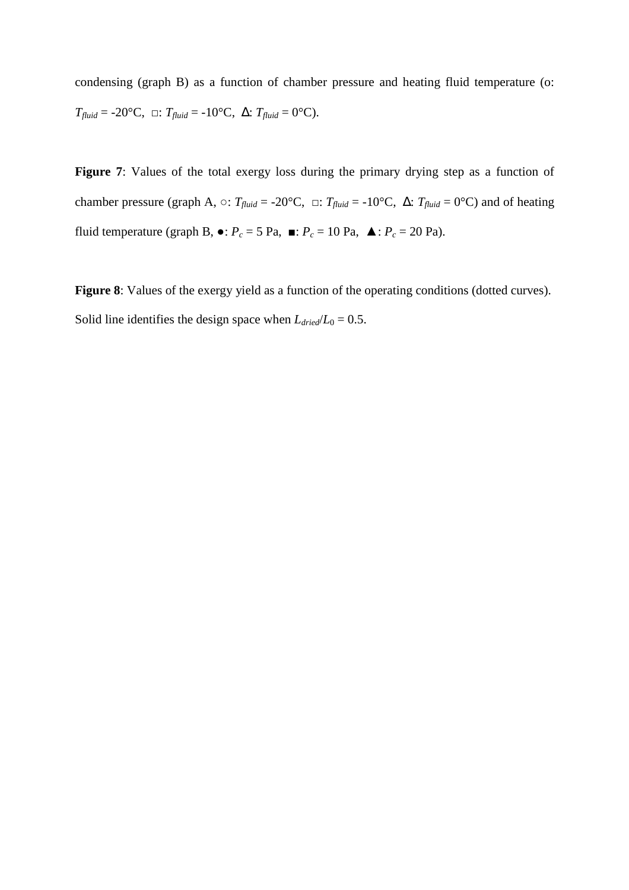condensing (graph B) as a function of chamber pressure and heating fluid temperature (o:  $T_{fluid} = -20$ °C,  $\Box$ :  $T_{fluid} = -10$ °C,  $\Delta$ :  $T_{fluid} = 0$ °C).

Figure 7: Values of the total exergy loss during the primary drying step as a function of chamber pressure (graph A,  $\circ$ : *T*<sub>*fluid*</sub> = -20°C,  $\circ$ : *T*<sub>*fluid*</sub> = -10°C,  $\Delta$ : *T*<sub>*fluid*</sub> = 0°C) and of heating fluid temperature (graph B,  $\bullet$ :  $P_c = 5$  Pa,  $\bullet$ :  $P_c = 10$  Pa,  $\bullet$ :  $P_c = 20$  Pa).

**Figure 8**: Values of the exergy yield as a function of the operating conditions (dotted curves). Solid line identifies the design space when  $L_{dried}/L_0 = 0.5$ .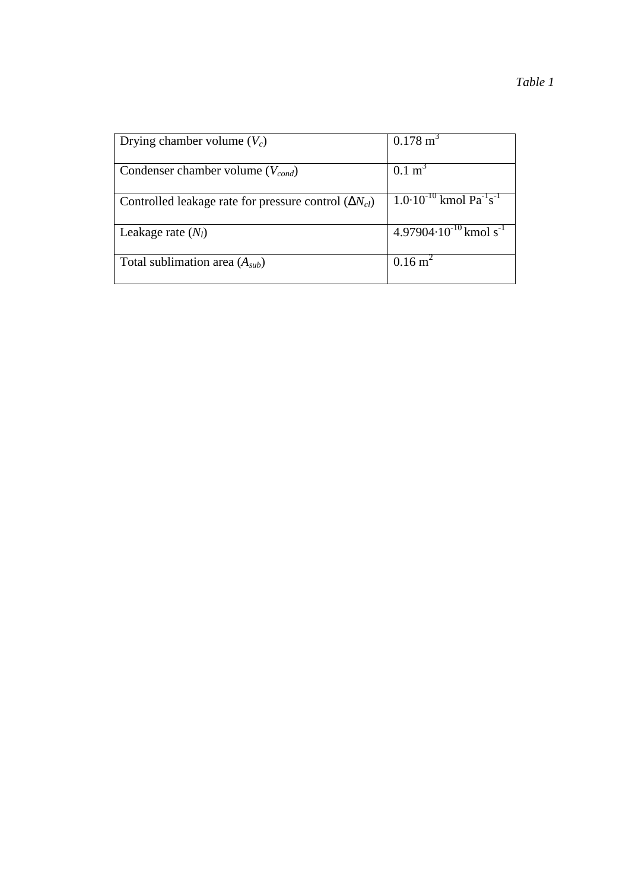| Drying chamber volume $(V_c)$                                  | $0.178 \text{ m}^3$                                        |  |  |  |  |
|----------------------------------------------------------------|------------------------------------------------------------|--|--|--|--|
| Condenser chamber volume $(V_{cond})$                          | $0.1 \text{ m}^3$                                          |  |  |  |  |
|                                                                | $1.0 \cdot 10^{-10}$ kmol Pa <sup>-1</sup> s <sup>-1</sup> |  |  |  |  |
| Controlled leakage rate for pressure control $(\Delta N_{cl})$ |                                                            |  |  |  |  |
| Leakage rate $(N_l)$                                           | $4.97904 \cdot 10^{-10}$ kmol s <sup>-1</sup>              |  |  |  |  |
| Total sublimation area $(A_{sub})$                             | $0.16 \text{ m}^2$                                         |  |  |  |  |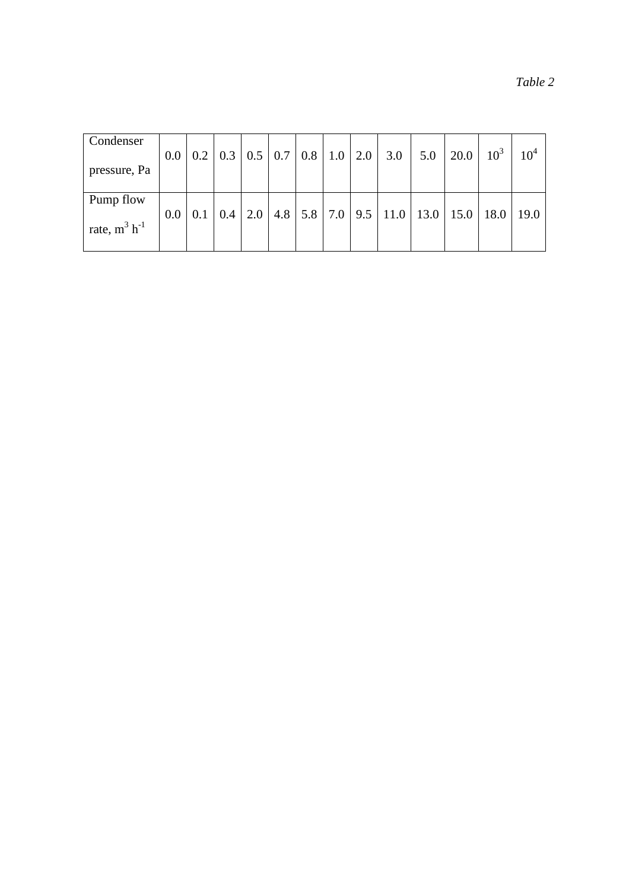| anu |  |
|-----|--|
|     |  |

| Condenser            |     |  |  |  |                                                 |     |                                                                                                     |          |                 |
|----------------------|-----|--|--|--|-------------------------------------------------|-----|-----------------------------------------------------------------------------------------------------|----------|-----------------|
|                      | 0.0 |  |  |  | $0.2$   0.3   0.5   0.7   0.8   1.0   2.0   3.0 | 5.0 | 20.0                                                                                                | $10^{3}$ | 10 <sup>4</sup> |
| pressure, Pa         |     |  |  |  |                                                 |     |                                                                                                     |          |                 |
|                      |     |  |  |  |                                                 |     |                                                                                                     |          |                 |
| Pump flow            |     |  |  |  |                                                 |     |                                                                                                     |          |                 |
|                      | 0.0 |  |  |  |                                                 |     | $0.1 \mid 0.4 \mid 2.0 \mid 4.8 \mid 5.8 \mid 7.0 \mid 9.5 \mid 11.0 \mid 13.0 \mid 15.0 \mid 18.0$ |          | 19.0            |
| rate, $m^3$ $h^{-1}$ |     |  |  |  |                                                 |     |                                                                                                     |          |                 |
|                      |     |  |  |  |                                                 |     |                                                                                                     |          |                 |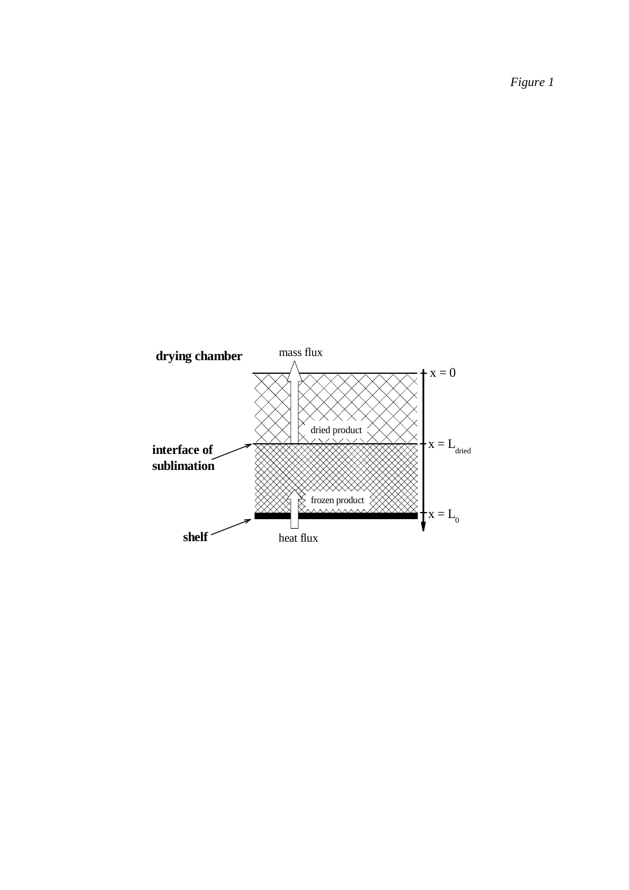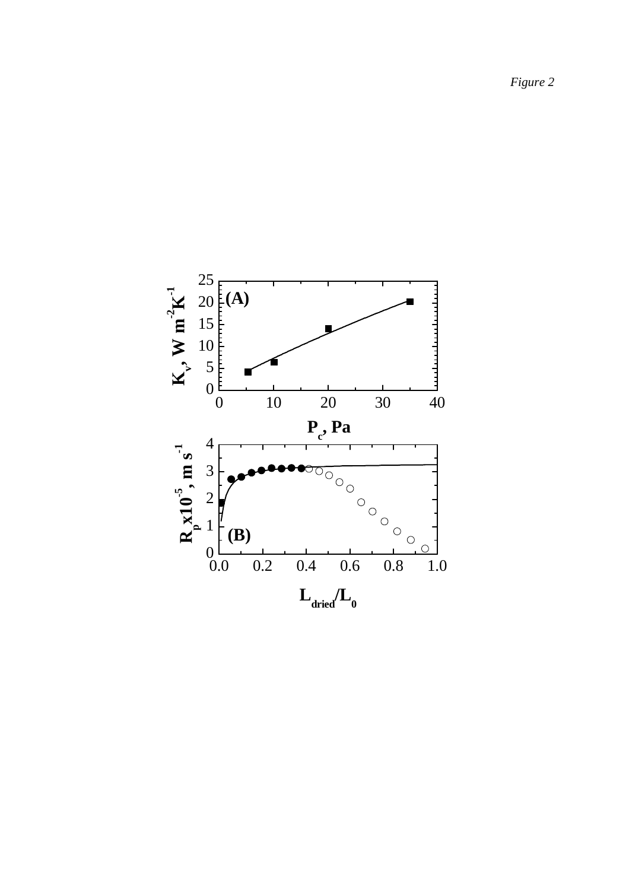25 **K-1 (A)** 20  $\boldsymbol{v}$ ,  $\boldsymbol{W}$  m<sup>-2</sup> 15 10 5 |<br>|<br>|<br>| **K**0 0 10 20 30 40 **P c , Pa** 4 0.0 0.2 0.4 0.6 0.8 1.0  $_{\rm p}^{\rm N}10^{.5}$ , m s<sup>-1</sup> 3 2 1 **(B) R**  $0.0$  $\circ$  $L_{\text{dried}}/L_{0}$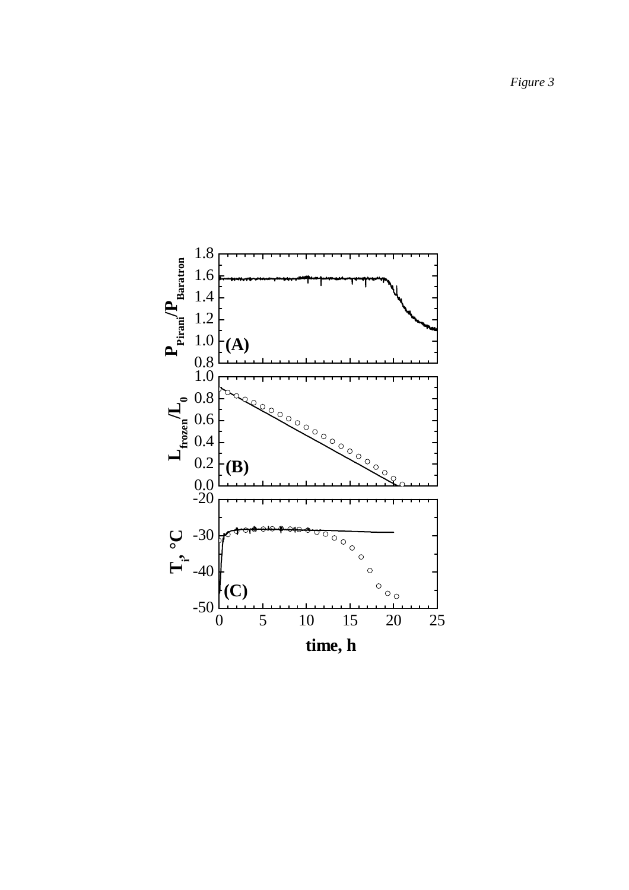1.8 **PPirani/PBaratron** 1.6 1.4 1.2 **(A)** 1.0 0.8 1.0 0.8  $\mathbf{L}_{\text{frozen}}$ 0.6 0.4 0.2 **(B)**  $0.0$ -20 -30 **Ti, °C** $\overline{\circ \circ}$  $\circ$  $\circ$ -40  $\begin{matrix} 0 \\ 0 \\ 0 \\ 0 \end{matrix}$ **(C)**  $-50\frac{L}{0}$ 0 5 10 15 20 25 **time, h**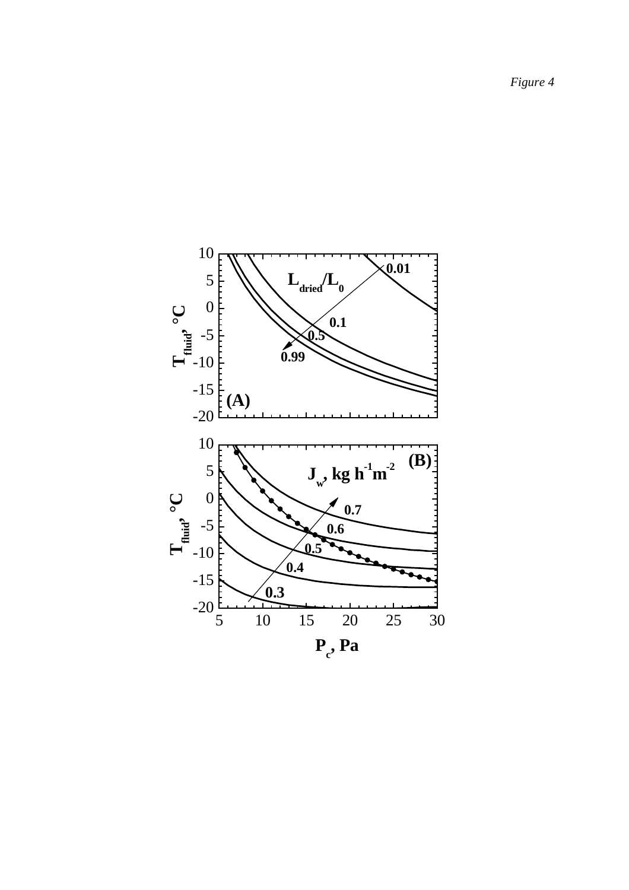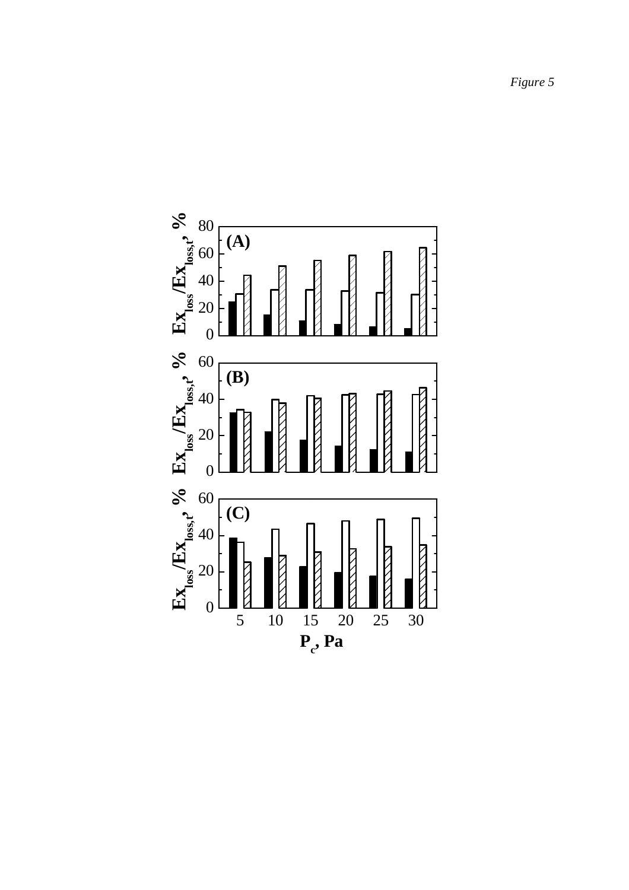5 10 15 20 25 30  $\begin{array}{ccc}\n\mathbf{E_X} & \mathbf{E_X}_{\text{loss},t} & \mathbf{0}_{\text{obs}} \\
\mathbf{E_X}_{\text{loss}} & \mathbf{E_X}_{\text{loss},t} & \mathbf{0} \\
\mathbf{E_X} & \mathbf{E_Y}_{\text{loss},t} & \mathbf{0} \\
\mathbf{E_Y} & \mathbf{E_Y}_{\text{loss},t} & \mathbf{0} \\
\mathbf{E_Y} & \mathbf{E_Y}_{\text{loss},t} & \mathbf{0} \\
\mathbf{E_Y} & \mathbf{E_Y}_{\text{loss},t} & \mathbf{0} \\
\mathbf{E_Y} & \mathbf{E_Y}_{\text{loss},t}$ **(A) P c , Pa (B)**  $\begin{array}{ccc}\n\mathbf{E}\mathbf{x}_{\text{loss}}\cdot\mathbf{f} & \mathbf{E}\mathbf{x}_{\text{loss}}\cdot\mathbf{f} & \mathbf{E}\mathbf{x}_{\text{loss}}\cdot\mathbf{f} & \mathbf{E}\mathbf{x}_{\text{loss}}\cdot\mathbf{f} & \mathbf{F}\mathbf{x}_{\text{loss}}\cdot\mathbf{f} & \mathbf{f}\cdot\mathbf{f}\cdot\mathbf{f}\cdot\mathbf{f}\cdot\mathbf{f}\cdot\mathbf{f}\cdot\mathbf{f}\cdot\mathbf{f}\cdot\mathbf{f}\cdot\mathbf{f}\cdot\mathbf{f}\cdot\mathbf{f}\cdot\mathbf{f}\cdot\$ **(C)**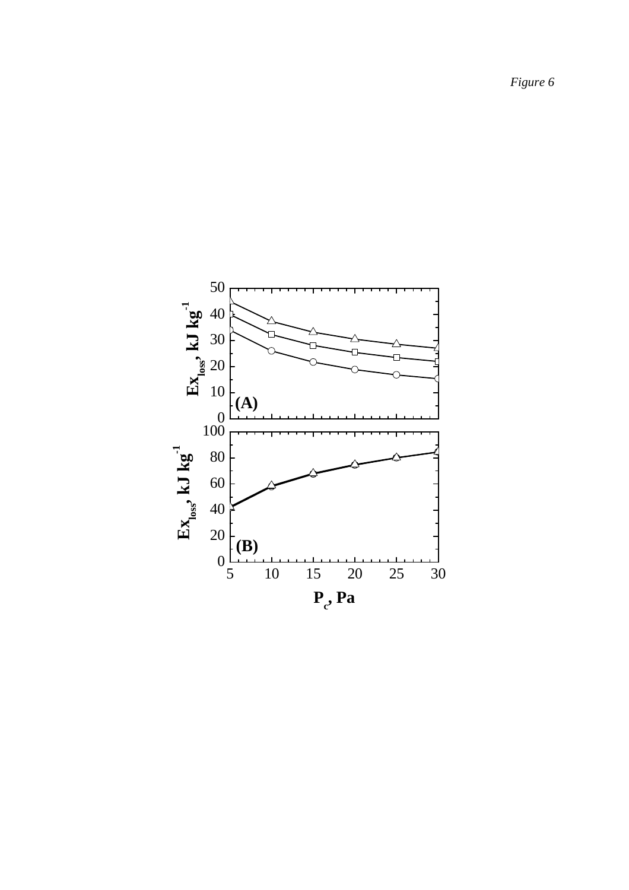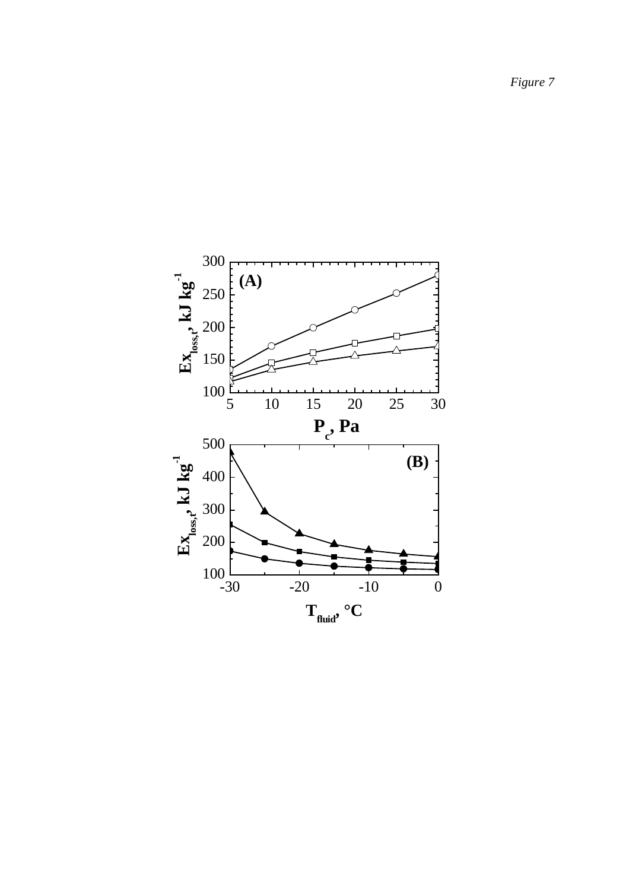